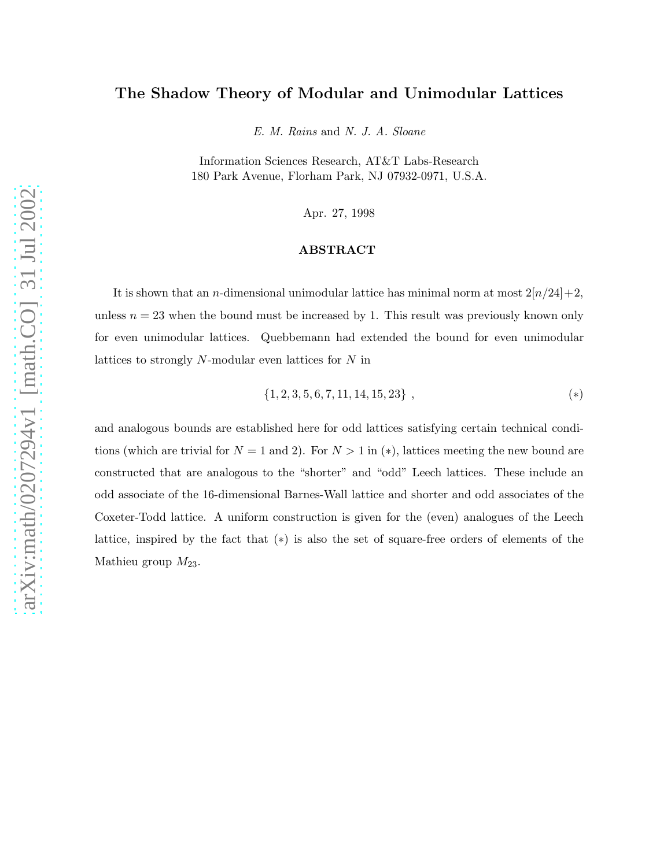# The Shadow Theory of Modular and Unimodular Lattices

E. M. Rains and N. J. A. Sloane

Information Sciences Research, AT&T Labs-Research 180 Park Avenue, Florham Park, NJ 07932-0971, U.S.A.

Apr. 27, 1998

#### ABSTRACT

It is shown that an *n*-dimensional unimodular lattice has minimal norm at most  $2[n/24]+2$ , unless  $n = 23$  when the bound must be increased by 1. This result was previously known only for even unimodular lattices. Quebbemann had extended the bound for even unimodular lattices to strongly N-modular even lattices for N in

$$
\{1, 2, 3, 5, 6, 7, 11, 14, 15, 23\}, \tag{*}
$$

and analogous bounds are established here for odd lattices satisfying certain technical conditions (which are trivial for  $N = 1$  and 2). For  $N > 1$  in (\*), lattices meeting the new bound are constructed that are analogous to the "shorter" and "odd" Leech lattices. These include an odd associate of the 16-dimensional Barnes-Wall lattice and shorter and odd associates of the Coxeter-Todd lattice. A uniform construction is given for the (even) analogues of the Leech lattice, inspired by the fact that (∗) is also the set of square-free orders of elements of the Mathieu group  $M_{23}$ .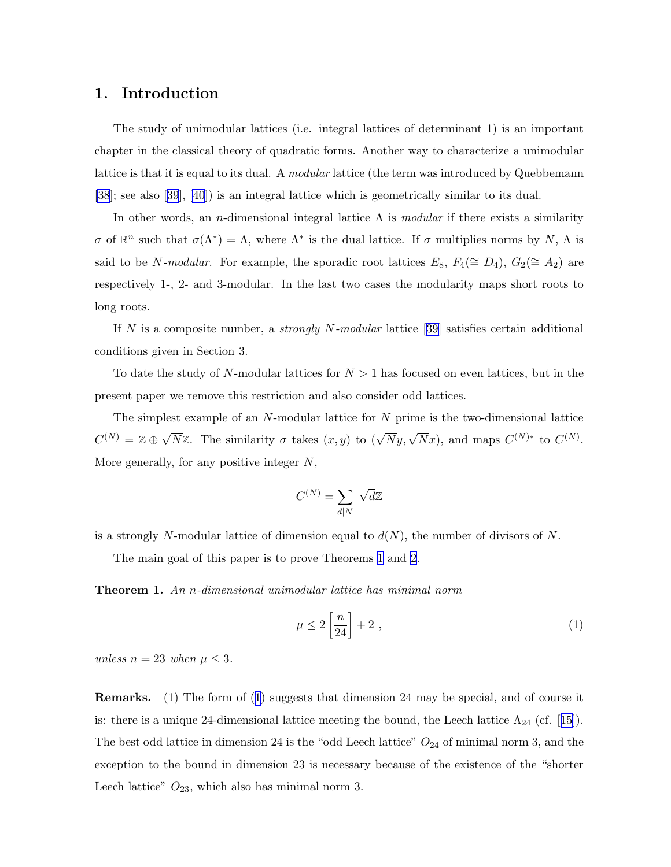# <span id="page-1-0"></span>1. Introduction

The study of unimodular lattices (i.e. integral lattices of determinant 1) is an important chapter in the classical theory of quadratic forms. Another way to characterize a unimodular lattice is that it is equal to its dual. A *modular* lattice (the term was introduced by Quebbemann [\[38](#page-31-0)]; see also[[39](#page-31-0)], [\[40](#page-31-0)]) is an integral lattice which is geometrically similar to its dual.

In other words, an *n*-dimensional integral lattice  $\Lambda$  is *modular* if there exists a similarity σ of  $\mathbb{R}^n$  such that  $\sigma(\Lambda^*) = \Lambda$ , where  $\Lambda^*$  is the dual lattice. If σ multiplies norms by N,  $\Lambda$  is said to be N-modular. For example, the sporadic root lattices  $E_8$ ,  $F_4(\cong D_4)$ ,  $G_2(\cong A_2)$  are respectively 1-, 2- and 3-modular. In the last two cases the modularity maps short roots to long roots.

If N is a composite number, a *strongly N-modular* lattice [\[39](#page-31-0)] satisfies certain additional conditions given in Section 3.

To date the study of N-modular lattices for  $N > 1$  has focused on even lattices, but in the present paper we remove this restriction and also consider odd lattices.

The simplest example of an  $N$ -modular lattice for  $N$  prime is the two-dimensional lattice  $C^{(N)} = \mathbb{Z} \oplus \sqrt{N}\mathbb{Z}$ . The similarity  $\sigma$  takes  $(x, y)$  to  $(\sqrt{N}y, \sqrt{N}x)$ , and maps  $C^{(N)*}$  to  $C^{(N)}$ . More generally, for any positive integer  $N$ ,

$$
C^{(N)} = \sum_{d|N} \sqrt{d}\mathbb{Z}
$$

is a strongly N-modular lattice of dimension equal to  $d(N)$ , the number of divisors of N.

The main goal of this paper is to prove Theorems 1 and [2](#page-3-0).

Theorem 1. An n-dimensional unimodular lattice has minimal norm

$$
\mu \le 2\left[\frac{n}{24}\right] + 2\tag{1}
$$

unless  $n = 23$  when  $\mu \leq 3$ .

Remarks. (1) The form of (1) suggests that dimension 24 may be special, and of course it is:there is a unique 24-dimensional lattice meeting the bound, the Leech lattice  $\Lambda_{24}$  (cf. [[15](#page-29-0)]). The best odd lattice in dimension 24 is the "odd Leech lattice"  $O_{24}$  of minimal norm 3, and the exception to the bound in dimension 23 is necessary because of the existence of the "shorter Leech lattice"  $O_{23}$ , which also has minimal norm 3.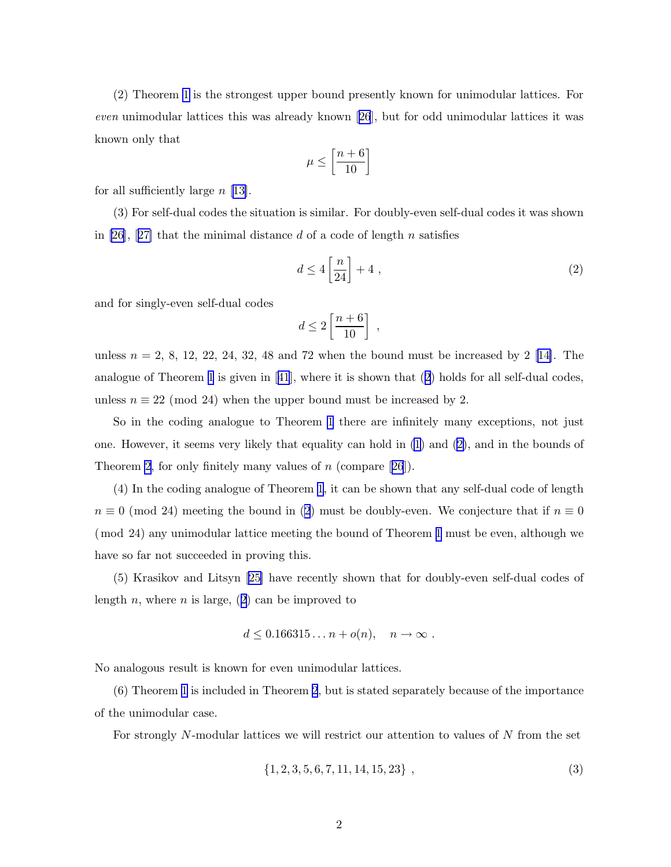<span id="page-2-0"></span>(2) Theorem [1](#page-1-0) is the strongest upper bound presently known for unimodular lattices. For even unimodular lattices this was already known[[26](#page-30-0)], but for odd unimodular lattices it was known only that

$$
\mu \le \left[\frac{n+6}{10}\right]
$$

for all sufficiently large  $n \lfloor 13 \rfloor$ .

(3) For self-dual codes the situation is similar. For doubly-even self-dual codes it was shown in [\[26](#page-30-0)],[[27\]](#page-30-0) that the minimal distance d of a code of length n satisfies

$$
d \le 4\left[\frac{n}{24}\right] + 4\tag{2}
$$

and for singly-even self-dual codes

$$
d \le 2\left[\frac{n+6}{10}\right] ,
$$

unless  $n = 2, 8, 12, 22, 24, 32, 48$  and 72 when the bound must be increased by 2 [\[14\]](#page-29-0). The analogue of Theorem [1](#page-1-0) is given in[[41](#page-31-0)], where it is shown that (2) holds for all self-dual codes, unless  $n \equiv 22 \pmod{24}$  when the upper bound must be increased by 2.

So in the coding analogue to Theorem [1](#page-1-0) there are infinitely many exceptions, not just one. However, it seems very likely that equality can hold in [\(1\)](#page-1-0) and (2), and in the bounds of Theorem [2,](#page-3-0)for only finitely many values of  $n$  (compare [[26](#page-30-0)]).

(4) In the coding analogue of Theorem [1](#page-1-0), it can be shown that any self-dual code of length  $n \equiv 0 \pmod{24}$  meeting the bound in (2) must be doubly-even. We conjecture that if  $n \equiv 0$ (mod 24) any unimodular lattice meeting the bound of Theorem [1](#page-1-0) must be even, although we have so far not succeeded in proving this.

(5) Krasikov and Litsyn [\[25\]](#page-30-0) have recently shown that for doubly-even self-dual codes of length n, where n is large,  $(2)$  can be improved to

$$
d \leq 0.166315\ldots n + o(n), \quad n \to \infty.
$$

No analogous result is known for even unimodular lattices.

(6) Theorem [1](#page-1-0) is included in Theorem [2](#page-3-0), but is stated separately because of the importance of the unimodular case.

For strongly  $N$ -modular lattices we will restrict our attention to values of  $N$  from the set

$$
\{1, 2, 3, 5, 6, 7, 11, 14, 15, 23\}, \qquad (3)
$$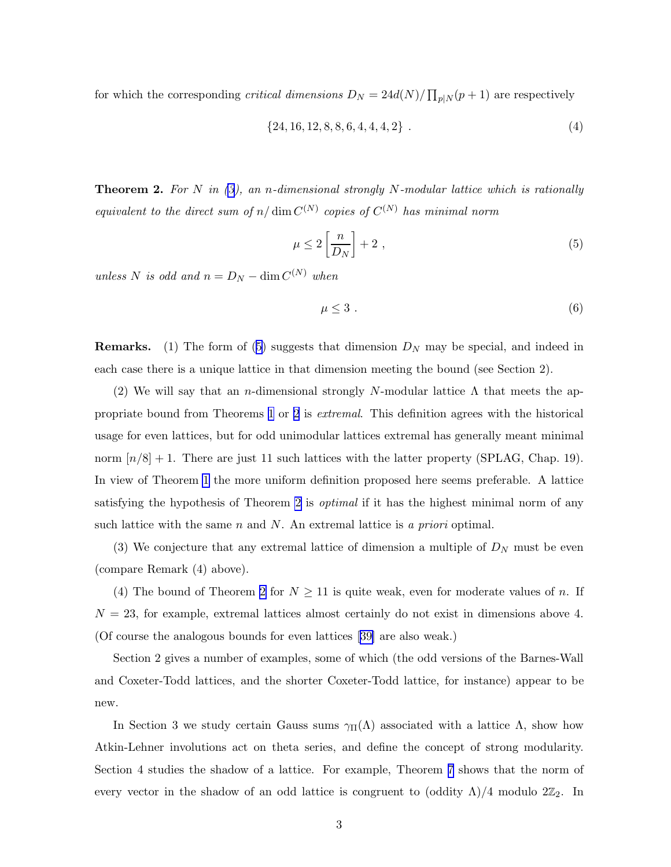<span id="page-3-0"></span>for which the corresponding *critical dimensions*  $D_N = 24d(N)/\prod_{p|N}(p+1)$  are respectively

$$
\{24, 16, 12, 8, 8, 6, 4, 4, 4, 2\} \t\t(4)
$$

**Theorem 2.** For N in  $(3)$ , an n-dimensional strongly N-modular lattice which is rationally equivalent to the direct sum of  $n/\dim C^{(N)}$  copies of  $C^{(N)}$  has minimal norm

$$
\mu \le 2\left[\frac{n}{D_N}\right] + 2\tag{5}
$$

unless N is odd and  $n = D_N - \dim C^{(N)}$  when

$$
\mu \leq 3 \tag{6}
$$

**Remarks.** (1) The form of (5) suggests that dimension  $D<sub>N</sub>$  may be special, and indeed in each case there is a unique lattice in that dimension meeting the bound (see Section 2).

(2) We will say that an *n*-dimensional strongly N-modular lattice  $\Lambda$  that meets the appropriate bound from Theorems [1](#page-1-0) or 2 is extremal. This definition agrees with the historical usage for even lattices, but for odd unimodular lattices extremal has generally meant minimal norm  $[n/8] + 1$ . There are just 11 such lattices with the latter property (SPLAG, Chap. 19). In view of Theorem [1](#page-1-0) the more uniform definition proposed here seems preferable. A lattice satisfying the hypothesis of Theorem 2 is *optimal* if it has the highest minimal norm of any such lattice with the same n and N. An extremal lattice is a priori optimal.

(3) We conjecture that any extremal lattice of dimension a multiple of  $D<sub>N</sub>$  must be even (compare Remark (4) above).

(4) The bound of Theorem 2 for  $N \geq 11$  is quite weak, even for moderate values of n. If  $N = 23$ , for example, extremal lattices almost certainly do not exist in dimensions above 4. (Of course the analogous bounds for even lattices[[39\]](#page-31-0) are also weak.)

Section 2 gives a number of examples, some of which (the odd versions of the Barnes-Wall and Coxeter-Todd lattices, and the shorter Coxeter-Todd lattice, for instance) appear to be new.

In Section 3 we study certain Gauss sums  $\gamma_{\Pi}(\Lambda)$  associated with a lattice  $\Lambda$ , show how Atkin-Lehner involutions act on theta series, and define the concept of strong modularity. Section 4 studies the shadow of a lattice. For example, Theorem [7](#page-15-0) shows that the norm of every vector in the shadow of an odd lattice is congruent to (oddity  $\Lambda$ )/4 modulo  $2\mathbb{Z}_2$ . In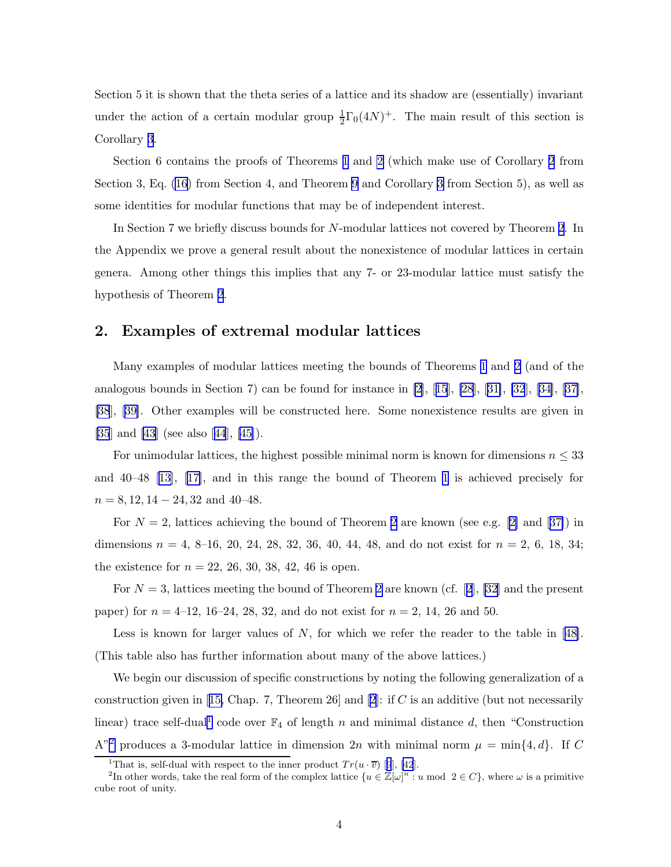Section 5 it is shown that the theta series of a lattice and its shadow are (essentially) invariant under the action of a certain modular group  $\frac{1}{2}\Gamma_0(4N)^+$ . The main result of this section is Corollary [3](#page-19-0).

Section 6 contains the proofs of Theorems [1](#page-1-0) and [2](#page-3-0) (which make use of Corollary [2](#page-13-0) from Section 3, Eq. [\(16](#page-15-0)) from Section 4, and Theorem [9](#page-19-0) and Corollary [3](#page-19-0) from Section 5), as well as some identities for modular functions that may be of independent interest.

In Section 7 we briefly discuss bounds for N-modular lattices not covered by Theorem [2](#page-3-0). In the Appendix we prove a general result about the nonexistence of modular lattices in certain genera. Among other things this implies that any 7- or 23-modular lattice must satisfy the hypothesis of Theorem [2](#page-3-0).

# 2. Examples of extremal modular lattices

Many examples of modular lattices meeting the bounds of Theorems [1](#page-1-0) and [2](#page-3-0) (and of the analogousbounds in Section 7) can be found for instance in  $[2]$ ,  $[15]$  $[15]$  $[15]$ ,  $[28]$ ,  $[31]$  $[31]$ ,  $[32]$ ,  $[34]$ ,  $[37]$  $[37]$ , [\[38](#page-31-0)], [\[39\]](#page-31-0). Other examples will be constructed here. Some nonexistence results are given in [\[35](#page-31-0)] and [\[43](#page-31-0)] (see also[[44](#page-31-0)], [\[45](#page-31-0)]).

For unimodular lattices, the highest possible minimal norm is known for dimensions  $n \leq 33$ and 40–48 [\[13](#page-29-0)], [\[17\]](#page-30-0), and in this range the bound of Theorem [1](#page-1-0) is achieved precisely for  $n = 8, 12, 14 - 24, 32 \text{ and } 40 - 48.$ 

For $N = 2$  $N = 2$ , lattices achieving the bound of Theorem 2 are known (see e.g. [\[2\]](#page-28-0) and [[37\]](#page-31-0)) in dimensions  $n = 4, 8-16, 20, 24, 28, 32, 36, 40, 44, 48,$  and do not exist for  $n = 2, 6, 18, 34;$ the existence for  $n = 22, 26, 30, 38, 42, 46$  is open.

For $N = 3$ , lattices meeting the bound of Theorem [2](#page-3-0) are known (cf. [[2](#page-28-0)], [\[32](#page-30-0)] and the present paper) for  $n = 4$ –12, 16–24, 28, 32, and do not exist for  $n = 2$ , 14, 26 and 50.

Lessis known for larger values of  $N$ , for which we refer the reader to the table in [[48\]](#page-32-0). (This table also has further information about many of the above lattices.)

We begin our discussion of specific constructions by noting the following generalization of a constructiongiven in [[15,](#page-29-0) Chap. 7, Theorem [2](#page-28-0)6] and [2]: if C is an additive (but not necessarily linear) trace self-dual<sup>1</sup> code over  $\mathbb{F}_4$  of length n and minimal distance d, then "Construction" A"<sup>2</sup> produces a 3-modular lattice in dimension 2n with minimal norm  $\mu = \min\{4, d\}$ . If C

<sup>&</sup>lt;sup>1</sup>Thatis, self-dual with respect to the inner product  $Tr(u \cdot \overline{v})$  [[9](#page-29-0)], [\[42](#page-31-0)].

<sup>&</sup>lt;sup>2</sup>In other words, take the real form of the complex lattice  $\{u \in \mathbb{Z}[\omega]^n : u \mod 2 \in C\}$ , where  $\omega$  is a primitive cube root of unity.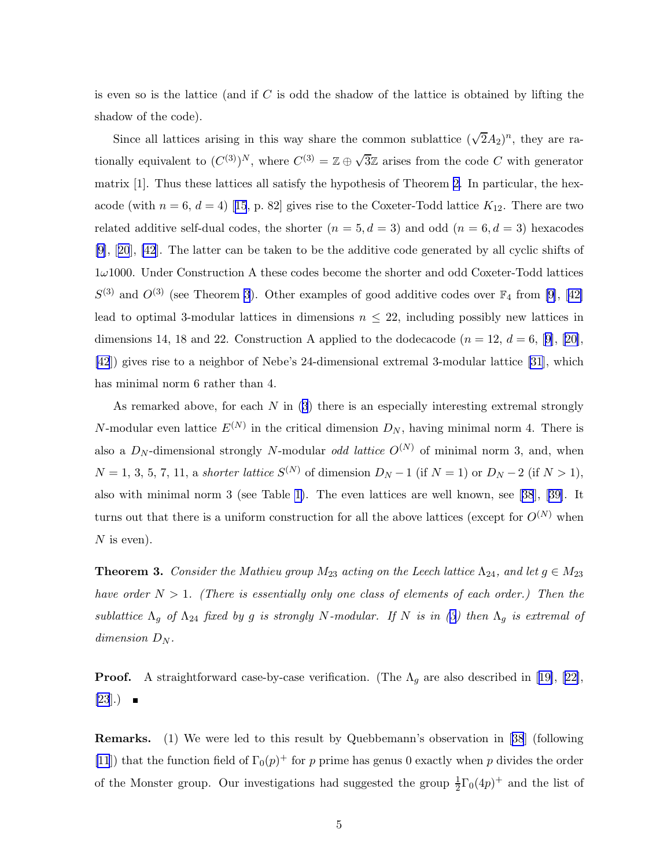is even so is the lattice (and if  $C$  is odd the shadow of the lattice is obtained by lifting the shadow of the code).

Since all lattices arising in this way share the common sublattice  $(\sqrt{2}A_2)^n$ , they are rationally equivalent to  $(C^{(3)})^N$ , where  $C^{(3)} = \mathbb{Z} \oplus \sqrt{3}\mathbb{Z}$  arises from the code C with generator matrix [1]. Thus these lattices all satisfy the hypothesis of Theorem [2](#page-3-0). In particular, the hex-acode(with  $n = 6, d = 4$ ) [[15](#page-29-0), p. 82] gives rise to the Coxeter-Todd lattice  $K_{12}$ . There are two related additive self-dual codes, the shorter  $(n = 5, d = 3)$  and odd  $(n = 6, d = 3)$  hexacodes [\[9\]](#page-29-0),[[20](#page-30-0)], [\[42](#page-31-0)]. The latter can be taken to be the additive code generated by all cyclic shifts of  $1\omega1000$ . Under Construction A these codes become the shorter and odd Coxeter-Todd lattices  $S^{(3)}$ and  $O^{(3)}$  (see Theorem 3). Other examples of good additive codes over  $\mathbb{F}_4$  from [\[9\]](#page-29-0), [[42\]](#page-31-0) lead to optimal 3-modular lattices in dimensions  $n \leq 22$ , including possibly new lattices in dimensions14, 18 and 22. Construction A applied to the dodecacode  $(n = 12, d = 6, 9]$  $(n = 12, d = 6, 9]$  $(n = 12, d = 6, 9]$ , [[20\]](#page-30-0), [\[42](#page-31-0)]) gives rise to a neighbor of Nebe's 24-dimensional extremal 3-modular lattice [\[31](#page-30-0)], which has minimal norm 6 rather than 4.

As remarked above, for each  $N$  in  $(3)$  there is an especially interesting extremal strongly N-modular even lattice  $E^{(N)}$  in the critical dimension  $D_N$ , having minimal norm 4. There is also a  $D_N$ -dimensional strongly N-modular *odd lattice*  $O^{(N)}$  of minimal norm 3, and, when  $N = 1, 3, 5, 7, 11,$  a shorter lattice  $S^{(N)}$  of dimension  $D_N - 1$  (if  $N = 1$ ) or  $D_N - 2$  (if  $N > 1$ ), also with minimal norm 3 (see Table [1\)](#page-6-0). The even lattices are well known, see[[38](#page-31-0)], [\[39\]](#page-31-0). It turns out that there is a uniform construction for all the above lattices (except for  $O^{(N)}$  when  $N$  is even).

**Theorem 3.** Consider the Mathieu group  $M_{23}$  acting on the Leech lattice  $\Lambda_{24}$ , and let  $g \in M_{23}$ have order  $N > 1$ . (There is essentially only one class of elements of each order.) Then the sublattice  $\Lambda_g$  of  $\Lambda_{24}$  fixed by g is strongly N-modular. If N is in ([3](#page-2-0)) then  $\Lambda_g$  is extremal of dimension  $D_N$ .

**Proof.**A straightforward case-by-case verification. (The  $\Lambda_g$  are also described in [[19\]](#page-30-0), [[22\]](#page-30-0),  $[23]$  $[23]$ .)  $\blacksquare$ 

Remarks. (1) We were led to this result by Quebbemann's observation in [[38](#page-31-0)] (following [\[11](#page-29-0)]) that the function field of  $\Gamma_0(p)^+$  for p prime has genus 0 exactly when p divides the order of the Monster group. Our investigations had suggested the group  $\frac{1}{2}\Gamma_0(4p)^+$  and the list of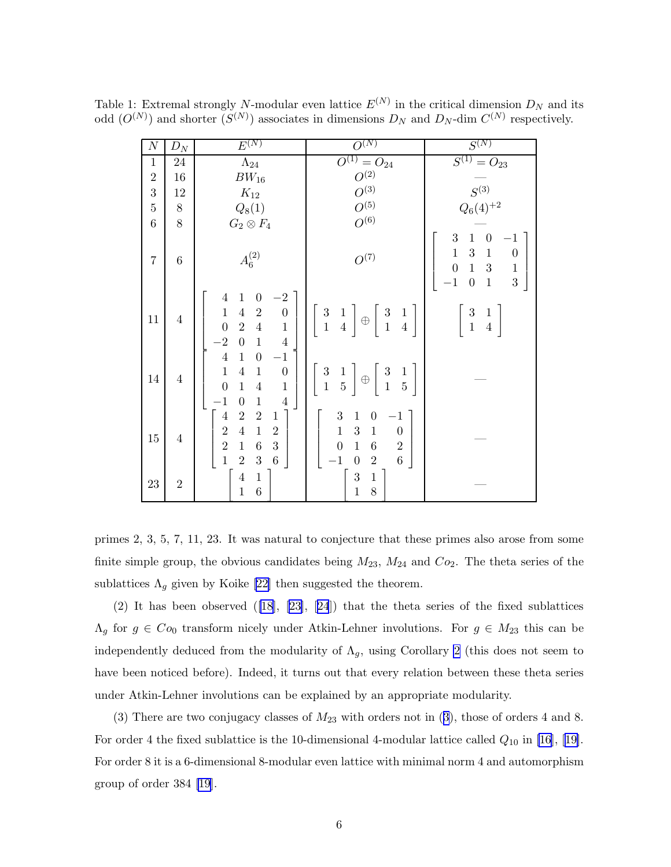| $\overline{N}$   | ${\cal D}_N$   | $E^{(N)}$                                                                                                                                                                                                                                                 | $\overline{O^{(N)}}$                                                                                                                                                                                                      | $S^{(N)}$                                                                                                                                                                                                                              |
|------------------|----------------|-----------------------------------------------------------------------------------------------------------------------------------------------------------------------------------------------------------------------------------------------------------|---------------------------------------------------------------------------------------------------------------------------------------------------------------------------------------------------------------------------|----------------------------------------------------------------------------------------------------------------------------------------------------------------------------------------------------------------------------------------|
| $\mathbf{1}$     | $24\,$         | $\Lambda_{24}$                                                                                                                                                                                                                                            | $O^{(1)} = O_{24}$                                                                                                                                                                                                        | $S^{(1)} = O_{23}$                                                                                                                                                                                                                     |
| $\boldsymbol{2}$ | 16             | $BW_{16}$                                                                                                                                                                                                                                                 | $O^{(2)}$                                                                                                                                                                                                                 |                                                                                                                                                                                                                                        |
| 3                | 12             | $K_{12}$                                                                                                                                                                                                                                                  | $O^{(3)}$                                                                                                                                                                                                                 | ${\cal S}^{(3)}$                                                                                                                                                                                                                       |
| $\bf 5$          | $8\,$          | $Q_8(1)$                                                                                                                                                                                                                                                  | $O^{(5)}$                                                                                                                                                                                                                 | $Q_6(4)^{\color{red}+2}$                                                                                                                                                                                                               |
| $\,6$            | 8              | $G_2\otimes F_4$                                                                                                                                                                                                                                          | $O^{(6)}$                                                                                                                                                                                                                 |                                                                                                                                                                                                                                        |
| $\overline{7}$   | 6              | $A_6^{(2)}$                                                                                                                                                                                                                                               | ${\cal O}^{(7)}$                                                                                                                                                                                                          | $\boldsymbol{3}$<br>$\mathbf{1}$<br>$\boldsymbol{0}$<br>$^{-1}$<br>$\mathbf 1$<br>$\sqrt{3}$<br>$\,1\,$<br>$\boldsymbol{0}$<br>$\overline{0}$<br>$\mathbf 1$<br>$\,1\,$<br>$\sqrt{3}$<br>3<br>$\mathbf{1}$<br>$-1$<br>$\boldsymbol{0}$ |
| 11               | $\overline{4}$ | $\mathbf{1}$<br>$\overline{0}$<br>$\cdot 2$<br>$\overline{4}$<br>$\overline{4}$<br>$\mathbf 1$<br>$\sqrt{2}$<br>$\boldsymbol{0}$<br>$\overline{0}$<br>$\overline{2}$<br>$\overline{4}$<br>$\mathbf{1}$<br>$-2$<br>$\boldsymbol{0}$<br>$1\,$<br>$\sqrt{4}$ | $\begin{array}{c} 3 \\ 1 \end{array}$<br>$\begin{array}{c} 3 \\ 1 \end{array}$<br>$\frac{1}{4}$<br>$\frac{1}{4}$<br>$\oplus$                                                                                              | $\sqrt{3}$<br>$\mathbf{1}$<br>$\mathbf{1}$<br>$\overline{4}$                                                                                                                                                                           |
| $14\,$           | $\overline{4}$ | $\bf 4$<br>$\mathbf{1}$<br>$\boldsymbol{0}$<br>$-1$<br>$\mathbf{1}$<br>$\boldsymbol{4}$<br>$\mathbf{1}$<br>$\boldsymbol{0}$<br>$\mathbf{1}$<br>$\overline{0}$<br>$\mathbf{1}$<br>$\,4\,$<br>$-1$<br>$\overline{4}$<br>$\boldsymbol{0}$<br>$\mathbf 1$     | $\begin{array}{c} 3 \\ 1 \end{array}$<br>$\frac{3}{1}$<br>$\frac{1}{5}$<br>$\frac{1}{5}$<br>$\oplus$                                                                                                                      |                                                                                                                                                                                                                                        |
| $15\,$           | $\overline{4}$ | $\overline{4}$<br>$\overline{2}$<br>$\sqrt{2}$<br>$\mathbf{1}$<br>$\overline{2}$<br>$\overline{4}$<br>$\mathbf{1}$<br>$\sqrt{2}$<br>$\overline{2}$<br>3<br>$\mathbf{1}$<br>$\,6$<br>$\overline{1}$<br>$\overline{2}$<br>$\overline{6}$<br>$\sqrt{3}$      | 3<br>$\boldsymbol{0}$<br>$\mathbf{1}$<br>$-1$<br>3<br>$\mathbf{1}$<br>$\,1$<br>$\boldsymbol{0}$<br>$\overline{0}$<br>$\boldsymbol{6}$<br>$\sqrt{2}$<br>$\mathbf{1}$<br>6<br>$\cdot 1$<br>$\overline{2}$<br>$\overline{0}$ |                                                                                                                                                                                                                                        |
| 23               | $\overline{2}$ | $\overline{4}$<br>$\,1\,$<br>$\overline{6}$<br>$\mathbf{1}$                                                                                                                                                                                               | $\mathbf{1}$<br>$\sqrt{3}$<br>8<br>$\mathbf{1}$                                                                                                                                                                           |                                                                                                                                                                                                                                        |

<span id="page-6-0"></span>Table 1: Extremal strongly N-modular even lattice  $E^{(N)}$  in the critical dimension  $D<sub>N</sub>$  and its odd  $(O^{(N)})$  and shorter  $(S^{(N)})$  associates in dimensions  $D_N$  and  $D_N$ -dim  $C^{(N)}$  respectively.

primes 2, 3, 5, 7, 11, 23. It was natural to conjecture that these primes also arose from some finite simple group, the obvious candidates being  $M_{23}$ ,  $M_{24}$  and  $Co_2$ . The theta series of the sublattices  $\Lambda_q$  given by Koike [\[22\]](#page-30-0) then suggested the theorem.

(2)It has been observed  $([18], [23], [24])$  $([18], [23], [24])$  $([18], [23], [24])$  $([18], [23], [24])$  $([18], [23], [24])$  $([18], [23], [24])$  $([18], [23], [24])$  that the theta series of the fixed sublattices  $\Lambda_g$  for  $g \in Co_0$  transform nicely under Atkin-Lehner involutions. For  $g \in M_{23}$  this can be independently deduced from the modularity of  $\Lambda_g$ , using Corollary [2](#page-13-0) (this does not seem to have been noticed before). Indeed, it turns out that every relation between these theta series under Atkin-Lehner involutions can be explained by an appropriate modularity.

(3)There are two conjugacy classes of  $M_{23}$  $M_{23}$  $M_{23}$  with orders not in (3), those of orders 4 and 8. Fororder 4 the fixed sublattice is the 10-dimensional 4-modular lattice called  $Q_{10}$  in [\[16](#page-29-0)], [[19\]](#page-30-0). For order 8 it is a 6-dimensional 8-modular even lattice with minimal norm 4 and automorphism group of order 384 [\[19](#page-30-0)].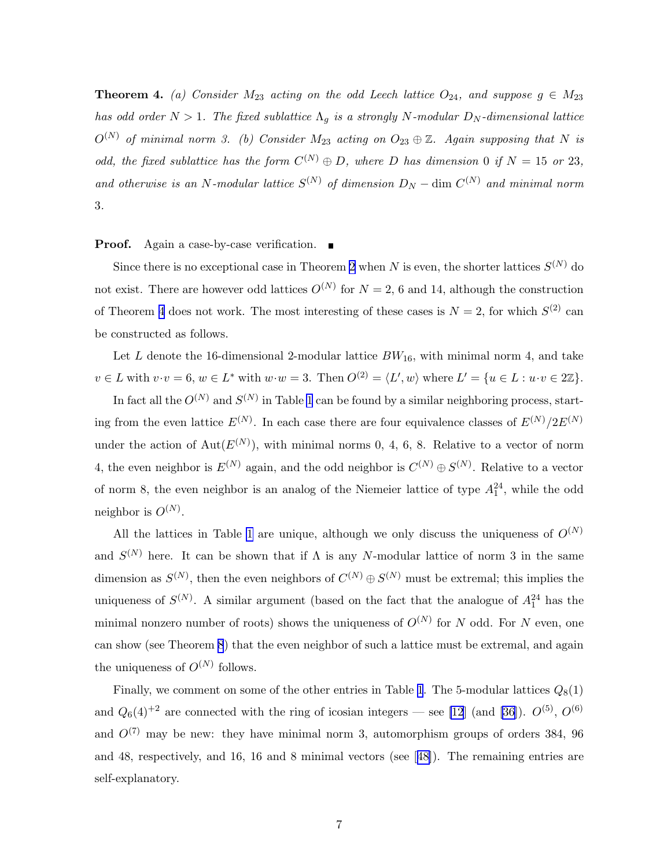**Theorem 4.** (a) Consider  $M_{23}$  acting on the odd Leech lattice  $O_{24}$ , and suppose  $g \in M_{23}$ has odd order  $N > 1$ . The fixed sublattice  $\Lambda_q$  is a strongly N-modular  $D_N$ -dimensional lattice  $O^{(N)}$  of minimal norm 3. (b) Consider  $M_{23}$  acting on  $O_{23} \oplus \mathbb{Z}$ . Again supposing that N is odd, the fixed sublattice has the form  $C^{(N)} \oplus D$ , where D has dimension 0 if  $N = 15$  or 23, and otherwise is an N-modular lattice  $S^{(N)}$  of dimension  $D_N$  – dim  $C^{(N)}$  and minimal norm 3.

#### **Proof.** Again a case-by-case verification.  $\blacksquare$

Since there is no exceptional case in Theorem [2](#page-3-0) when N is even, the shorter lattices  $S^{(N)}$  do not exist. There are however odd lattices  $O^{(N)}$  for  $N=2, 6$  and 14, although the construction of Theorem [4](#page-6-0) does not work. The most interesting of these cases is  $N = 2$ , for which  $S^{(2)}$  can be constructed as follows.

Let L denote the 16-dimensional 2-modular lattice  $BW_{16}$ , with minimal norm 4, and take  $v \in L$  with  $v \cdot v = 6$ ,  $w \in L^*$  with  $w \cdot w = 3$ . Then  $O^{(2)} = \langle L', w \rangle$  where  $L' = \{u \in L : u \cdot v \in 2\mathbb{Z}\}.$ 

In fact all the  $O^{(N)}$  and  $S^{(N)}$  in Table [1](#page-6-0) can be found by a similar neighboring process, starting from the even lattice  $E^{(N)}$ . In each case there are four equivalence classes of  $E^{(N)}/2E^{(N)}$ under the action of  $Aut(E^{(N)})$ , with minimal norms 0, 4, 6, 8. Relative to a vector of norm 4, the even neighbor is  $E^{(N)}$  again, and the odd neighbor is  $C^{(N)} \oplus S^{(N)}$ . Relative to a vector of norm 8, the even neighbor is an analog of the Niemeier lattice of type  $A_1^{24}$ , while the odd neighbor is  $O^{(N)}$ .

All the lattices in Table [1](#page-6-0) are unique, although we only discuss the uniqueness of  $O^{(N)}$ and  $S^{(N)}$  here. It can be shown that if  $\Lambda$  is any N-modular lattice of norm 3 in the same dimension as  $S^{(N)}$ , then the even neighbors of  $C^{(N)} \oplus S^{(N)}$  must be extremal; this implies the uniqueness of  $S^{(N)}$ . A similar argument (based on the fact that the analogue of  $A_1^{24}$  has the minimal nonzero number of roots) shows the uniqueness of  $O^{(N)}$  for N odd. For N even, one can show (see Theorem [8](#page-16-0)) that the even neighbor of such a lattice must be extremal, and again the uniqueness of  $O^{(N)}$  follows.

Finally, we comment on some of the other entries in Table [1](#page-6-0). The 5-modular lattices  $Q_8(1)$ and  $Q_6(4)^{+2}$  are connected with the ring of icosian integers — see [\[12](#page-29-0)] (and [\[36\]](#page-31-0)).  $O^{(5)}$ ,  $O^{(6)}$ and  $O^{(7)}$  may be new: they have minimal norm 3, automorphism groups of orders 384, 96 and 48, respectively, and 16, 16 and 8 minimal vectors (see[[48\]](#page-32-0)). The remaining entries are self-explanatory.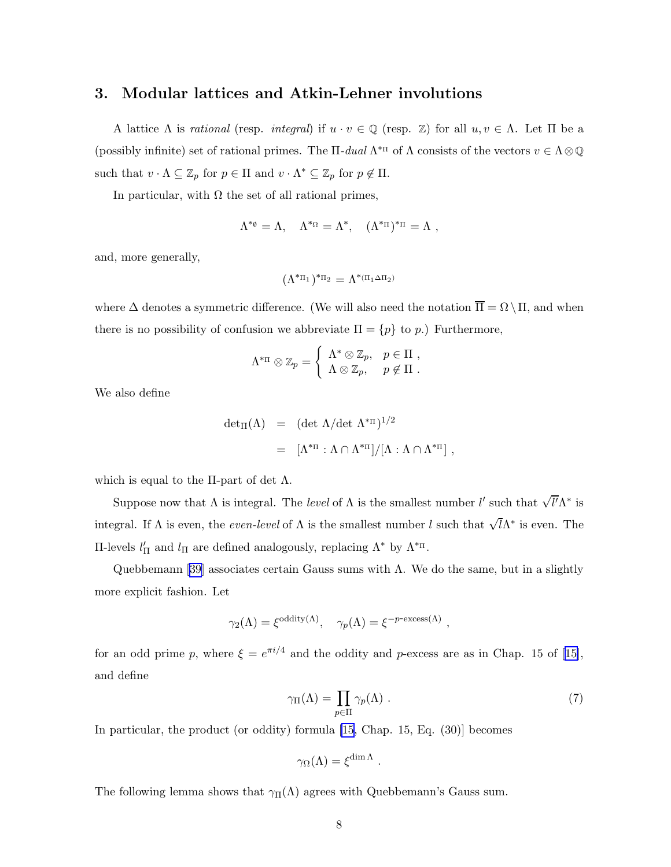## <span id="page-8-0"></span>3. Modular lattices and Atkin-Lehner involutions

A lattice  $\Lambda$  is *rational* (resp. *integral*) if  $u \cdot v \in \mathbb{Q}$  (resp.  $\mathbb{Z}$ ) for all  $u, v \in \Lambda$ . Let  $\Pi$  be a (possibly infinite) set of rational primes. The  $\Pi$ -dual  $\Lambda^{*_{\Pi}}$  of  $\Lambda$  consists of the vectors  $v \in \Lambda \otimes \mathbb{Q}$ such that  $v \cdot \Lambda \subseteq \mathbb{Z}_p$  for  $p \in \Pi$  and  $v \cdot \Lambda^* \subseteq \mathbb{Z}_p$  for  $p \notin \Pi$ .

In particular, with  $\Omega$  the set of all rational primes,

$$
\Lambda^{*_\emptyset} = \Lambda, \quad \Lambda^{*_\Omega} = \Lambda^*, \quad (\Lambda^{*_\Pi})^{*_\Pi} = \Lambda \ ,
$$

and, more generally,

$$
(\Lambda^{*\pi_1})^{*\pi_2}=\Lambda^{*(\pi_1\Delta\pi_2)}
$$

where  $\Delta$  denotes a symmetric difference. (We will also need the notation  $\overline{\Pi} = \Omega \setminus \Pi$ , and when there is no possibility of confusion we abbreviate  $\Pi = \{p\}$  to p.) Furthermore,

$$
\Lambda^{*_{\Pi}} \otimes \mathbb{Z}_p = \left\{ \begin{array}{ll} \Lambda^* \otimes \mathbb{Z}_p, & p \in \Pi , \\ \Lambda \otimes \mathbb{Z}_p, & p \notin \Pi . \end{array} \right.
$$

We also define

$$
\begin{array}{rcl}\n\det_{\Pi}(\Lambda) & = & (\det \Lambda / \det \Lambda^{*_{\Pi}})^{1/2} \\
& = & [\Lambda^{*_{\Pi}} : \Lambda \cap \Lambda^{*_{\Pi}}] / [\Lambda : \Lambda \cap \Lambda^{*_{\Pi}}] \, ,\n\end{array}
$$

which is equal to the  $\Pi$ -part of det  $\Lambda$ .

Suppose now that  $\Lambda$  is integral. The *level* of  $\Lambda$  is the smallest number l' such that  $\sqrt{l'}\Lambda^*$  is integral. If  $\Lambda$  is even, the *even-level* of  $\Lambda$  is the smallest number l such that  $\sqrt{l}\Lambda^*$  is even. The Π-levels  $l'_{\Pi}$  and  $l_{\Pi}$  are defined analogously, replacing  $Λ^*$  by  $Λ^{*<sub>II</sub>}$ .

Quebbemann [\[39\]](#page-31-0) associates certain Gauss sums with  $\Lambda$ . We do the same, but in a slightly more explicit fashion. Let

$$
\gamma_2(\Lambda) = \xi^{\text{oddity}(\Lambda)}, \quad \gamma_p(\Lambda) = \xi^{-p-\text{excess}(\Lambda)},
$$

foran odd prime p, where  $\xi = e^{\pi i/4}$  and the oddity and p-excess are as in Chap. 15 of [[15\]](#page-29-0), and define

$$
\gamma_{\Pi}(\Lambda) = \prod_{p \in \Pi} \gamma_p(\Lambda) . \tag{7}
$$

In particular, the product (or oddity) formula [\[15](#page-29-0), Chap. 15, Eq. (30)] becomes

$$
\gamma_{\Omega}(\Lambda) = \xi^{\dim \Lambda} .
$$

The following lemma shows that  $\gamma_{\Pi}(\Lambda)$  agrees with Quebbemann's Gauss sum.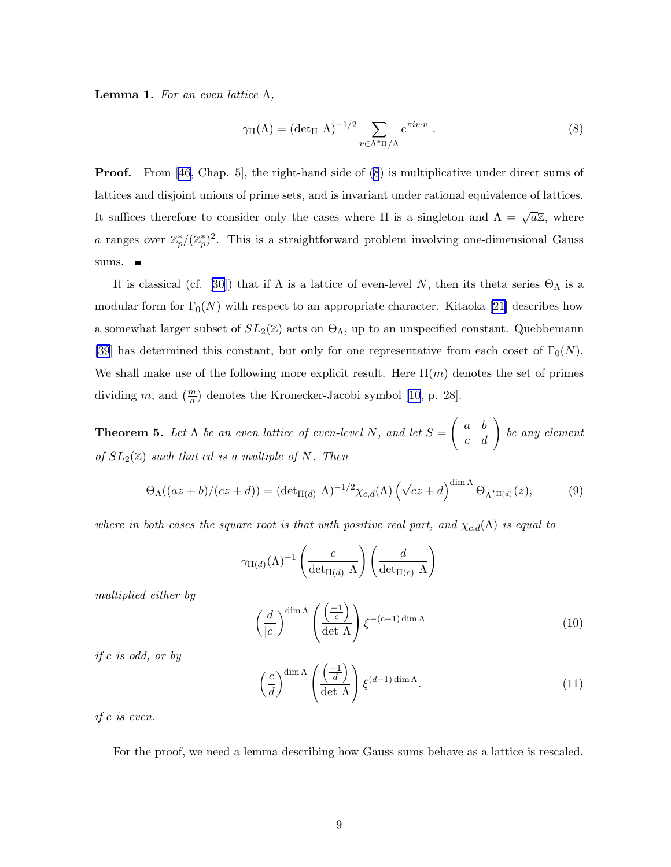<span id="page-9-0"></span>**Lemma 1.** For an even lattice  $Λ$ ,

$$
\gamma_{\Pi}(\Lambda) = (\det_{\Pi} \Lambda)^{-1/2} \sum_{v \in \Lambda^{*_{\Pi}}/\Lambda} e^{\pi i v \cdot v} . \tag{8}
$$

**Proof.** From [\[46](#page-31-0), Chap. 5], the right-hand side of (8) is multiplicative under direct sums of lattices and disjoint unions of prime sets, and is invariant under rational equivalence of lattices. It suffices therefore to consider only the cases where  $\Pi$  is a singleton and  $\Lambda = \sqrt{a}\mathbb{Z}$ , where a ranges over  $\mathbb{Z}_p^*/(\mathbb{Z}_p^*)^2$ . This is a straightforward problem involving one-dimensional Gauss sums.

It is classical (cf. [\[30\]](#page-30-0)) that if  $\Lambda$  is a lattice of even-level N, then its theta series  $\Theta_{\Lambda}$  is a modularform for  $\Gamma_0(N)$  with respect to an appropriate character. Kitaoka [[21\]](#page-30-0) describes how a somewhat larger subset of  $SL_2(\mathbb{Z})$  acts on  $\Theta_\Lambda$ , up to an unspecified constant. Quebbemann [\[39](#page-31-0)] has determined this constant, but only for one representative from each coset of  $\Gamma_0(N)$ . We shall make use of the following more explicit result. Here  $\Pi(m)$  denotes the set of primes dividing m, and  $\left(\frac{m}{n}\right)$  denotes the Kronecker-Jacobi symbol [\[10](#page-29-0), p. 28].

**Theorem 5.** Let  $\Lambda$  be an even lattice of even-level N, and let  $S =$  $\left(\begin{array}{cc} a & b \\ c & d \end{array}\right)$  be any element of  $SL_2(\mathbb{Z})$  such that cd is a multiple of N. Then

$$
\Theta_{\Lambda}((az+b)/(cz+d)) = (\det_{\Pi(d)} \Lambda)^{-1/2} \chi_{c,d}(\Lambda) \left(\sqrt{cz+d}\right)^{\dim \Lambda} \Theta_{\Lambda^*\Pi(d)}(z),\tag{9}
$$

where in both cases the square root is that with positive real part, and  $\chi_{c,d}(\Lambda)$  is equal to

$$
\gamma_{\Pi(d)}(\Lambda)^{-1}\left(\frac{c}{\det_{\Pi(d)} \Lambda}\right)\left(\frac{d}{\det_{\Pi(c)} \Lambda}\right)
$$

multiplied either by

$$
\left(\frac{d}{|c|}\right)^{\dim \Lambda} \left(\frac{\left(\frac{-1}{c}\right)}{\det \Lambda}\right) \xi^{-(c-1)\dim \Lambda} \tag{10}
$$

if c is odd, or by

$$
\left(\frac{c}{d}\right)^{\dim\Lambda} \left(\frac{\left(\frac{-1}{d}\right)}{\det\Lambda}\right) \xi^{(d-1)\dim\Lambda}.
$$
\n(11)

if c is even.

For the proof, we need a lemma describing how Gauss sums behave as a lattice is rescaled.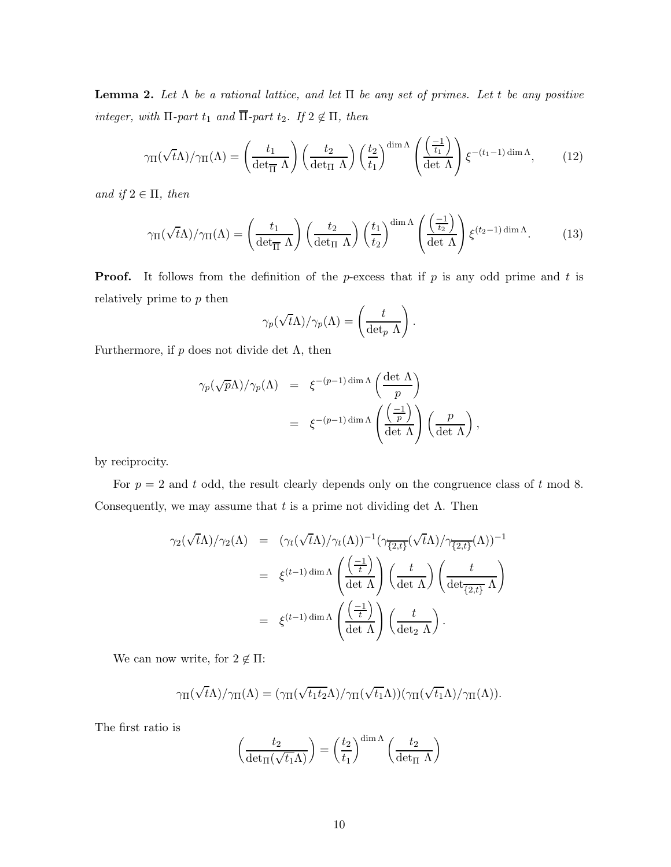<span id="page-10-0"></span>**Lemma 2.** Let  $\Lambda$  be a rational lattice, and let  $\Pi$  be any set of primes. Let t be any positive integer, with  $\Pi$ -part  $t_1$  and  $\overline{\Pi}$ -part  $t_2$ . If  $2 \notin \Pi$ , then

$$
\gamma_{\Pi}(\sqrt{t}\Lambda)/\gamma_{\Pi}(\Lambda) = \left(\frac{t_1}{\det_{\Pi}\Lambda}\right) \left(\frac{t_2}{\det_{\Pi}\Lambda}\right) \left(\frac{t_2}{t_1}\right)^{\dim\Lambda} \left(\frac{\left(\frac{-1}{t_1}\right)}{\det\Lambda}\right) \xi^{-(t_1-1)\dim\Lambda},\tag{12}
$$

and if  $2 \in \Pi$ , then

$$
\gamma_{\Pi}(\sqrt{t}\Lambda)/\gamma_{\Pi}(\Lambda) = \left(\frac{t_1}{\det_{\Pi}\Lambda}\right) \left(\frac{t_2}{\det_{\Pi}\Lambda}\right) \left(\frac{t_1}{t_2}\right)^{\dim\Lambda} \left(\frac{\left(\frac{-1}{t_2}\right)}{\det\Lambda}\right) \xi^{(t_2-1)\dim\Lambda}.\tag{13}
$$

**Proof.** It follows from the definition of the p-excess that if p is any odd prime and t is relatively prime to  $p$  then

$$
\gamma_p(\sqrt{t}\Lambda)/\gamma_p(\Lambda) = \left(\frac{t}{\det_p \Lambda}\right).
$$

Furthermore, if  $p$  does not divide det  $\Lambda$ , then

$$
\gamma_p(\sqrt{p}\Lambda)/\gamma_p(\Lambda) = \xi^{-(p-1)\dim\Lambda} \left(\frac{\det\Lambda}{p}\right)
$$
  
=  $\xi^{-(p-1)\dim\Lambda} \left(\frac{\left(\frac{-1}{p}\right)}{\det\Lambda}\right) \left(\frac{p}{\det\Lambda}\right),$ 

by reciprocity.

For  $p = 2$  and t odd, the result clearly depends only on the congruence class of t mod 8. Consequently, we may assume that t is a prime not dividing det  $\Lambda$ . Then

$$
\gamma_2(\sqrt{t}\Lambda)/\gamma_2(\Lambda) = (\gamma_t(\sqrt{t}\Lambda)/\gamma_t(\Lambda))^{-1}(\gamma_{\overline{\{2,t\}}}(\sqrt{t}\Lambda)/\gamma_{\overline{\{2,t\}}}(\Lambda))^{-1}
$$
  

$$
= \xi^{(t-1)\dim\Lambda} \left(\frac{\left(\frac{-1}{t}\right)}{\det\Lambda}\right) \left(\frac{t}{\det\Lambda}\right) \left(\frac{t}{\det\{2,t\}}\Lambda\right)
$$
  

$$
= \xi^{(t-1)\dim\Lambda} \left(\frac{\left(\frac{-1}{t}\right)}{\det\Lambda}\right) \left(\frac{t}{\det\Lambda}\right).
$$

We can now write, for  $2 \notin \Pi$ :

$$
\gamma_{\Pi}(\sqrt{t}\Lambda)/\gamma_{\Pi}(\Lambda)=(\gamma_{\Pi}(\sqrt{t_1t_2}\Lambda)/\gamma_{\Pi}(\sqrt{t_1}\Lambda))(\gamma_{\Pi}(\sqrt{t_1}\Lambda)/\gamma_{\Pi}(\Lambda)).
$$

The first ratio is

$$
\left(\frac{t_2}{\det_{\Pi}(\sqrt{t_1}\Lambda)}\right) = \left(\frac{t_2}{t_1}\right)^{\dim\Lambda} \left(\frac{t_2}{\det_{\Pi}\Lambda}\right)
$$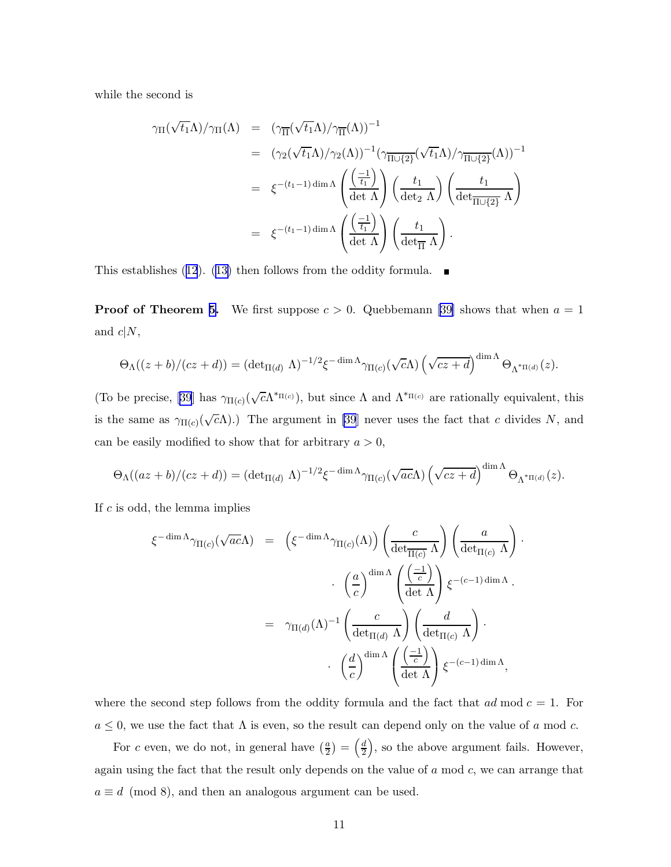while the second is

$$
\gamma_{\Pi}(\sqrt{t_1}\Lambda)/\gamma_{\Pi}(\Lambda) = (\gamma_{\overline{\Pi}}(\sqrt{t_1}\Lambda)/\gamma_{\overline{\Pi}}(\Lambda))^{-1}
$$
  
\n
$$
= (\gamma_2(\sqrt{t_1}\Lambda)/\gamma_2(\Lambda))^{-1}(\gamma_{\overline{\Pi\cup\{2\}}}(\sqrt{t_1}\Lambda)/\gamma_{\overline{\Pi\cup\{2\}}}(\Lambda))^{-1}
$$
  
\n
$$
= \xi^{-(t_1-1)\dim\Lambda} \left(\frac{\left(\frac{-1}{t_1}\right)}{\det\Lambda}\right) \left(\frac{t_1}{\det\Lambda}\right) \left(\frac{t_1}{\det\overline{\Pi\cup\{2\}}} \Lambda\right)
$$
  
\n
$$
= \xi^{-(t_1-1)\dim\Lambda} \left(\frac{\left(\frac{-1}{t_1}\right)}{\det\Lambda}\right) \left(\frac{t_1}{\det\overline{\Pi}\Lambda}\right).
$$

Thisestablishes ([12](#page-10-0)). ([13\)](#page-10-0) then follows from the oddity formula.  $\blacksquare$ 

**Proof of Theorem [5.](#page-9-0)**We first suppose  $c > 0$ . Quebbemann [[39\]](#page-31-0) shows that when  $a = 1$ and  $c|N$ ,

$$
\Theta_{\Lambda}((z+b)/(cz+d)) = (\det_{\Pi(d)} \Lambda)^{-1/2} \xi^{-\dim \Lambda} \gamma_{\Pi(c)}(\sqrt{c}\Lambda) \left(\sqrt{cz+d}\right)^{\dim \Lambda} \Theta_{\Lambda^*\Pi(d)}(z).
$$

(To be precise, [\[39](#page-31-0)] has  $\gamma_{\Pi(c)}(\sqrt{c}\Lambda^{*_{\Pi(c)}})$ , but since  $\Lambda$  and  $\Lambda^{*_{\Pi(c)}}$  are rationally equivalent, this is the same as  $\gamma_{\Pi(c)}(\sqrt{c}\Lambda)$ .) The argument in [\[39](#page-31-0)] never uses the fact that c divides N, and can be easily modified to show that for arbitrary  $a > 0$ ,

$$
\Theta_{\Lambda}((az+b)/(cz+d)) = (\det_{\Pi(d)} \Lambda)^{-1/2} \xi^{-\dim \Lambda} \gamma_{\Pi(c)}(\sqrt{ac}\Lambda) \left(\sqrt{cz+d}\right)^{\dim \Lambda} \Theta_{\Lambda^*\Pi(d)}(z).
$$

·

If  $c$  is odd, the lemma implies

$$
\xi^{-\dim \Lambda} \gamma_{\Pi(c)}(\sqrt{ac}\Lambda) = \left(\xi^{-\dim \Lambda} \gamma_{\Pi(c)}(\Lambda)\right) \left(\frac{c}{\det_{\Pi(c)} \Lambda}\right) \left(\frac{a}{\det_{\Pi(c)} \Lambda}\right)
$$

$$
\cdot \left(\frac{a}{c}\right)^{\dim \Lambda} \left(\frac{\left(\frac{-1}{c}\right)}{\det \Lambda}\right) \xi^{-(c-1)\dim \Lambda}.
$$

$$
= \gamma_{\Pi(d)}(\Lambda)^{-1} \left(\frac{c}{\det_{\Pi(d)} \Lambda}\right) \left(\frac{d}{\det_{\Pi(c)} \Lambda}\right) .
$$

$$
\cdot \left(\frac{d}{c}\right)^{\dim \Lambda} \left(\frac{\left(\frac{-1}{c}\right)}{\det \Lambda}\right) \xi^{-(c-1)\dim \Lambda},
$$

where the second step follows from the oddity formula and the fact that  $ad \mod c = 1$ . For  $a \leq 0$ , we use the fact that  $\Lambda$  is even, so the result can depend only on the value of a mod c.

For c even, we do not, in general have  $\left(\frac{a}{2}\right)$  $\left(\frac{a}{2}\right) = \left(\frac{d}{2}\right)$  $\left(\frac{d}{2}\right)$ , so the above argument fails. However, again using the fact that the result only depends on the value of  $a \mod c$ , we can arrange that  $a \equiv d \pmod{8}$ , and then an analogous argument can be used.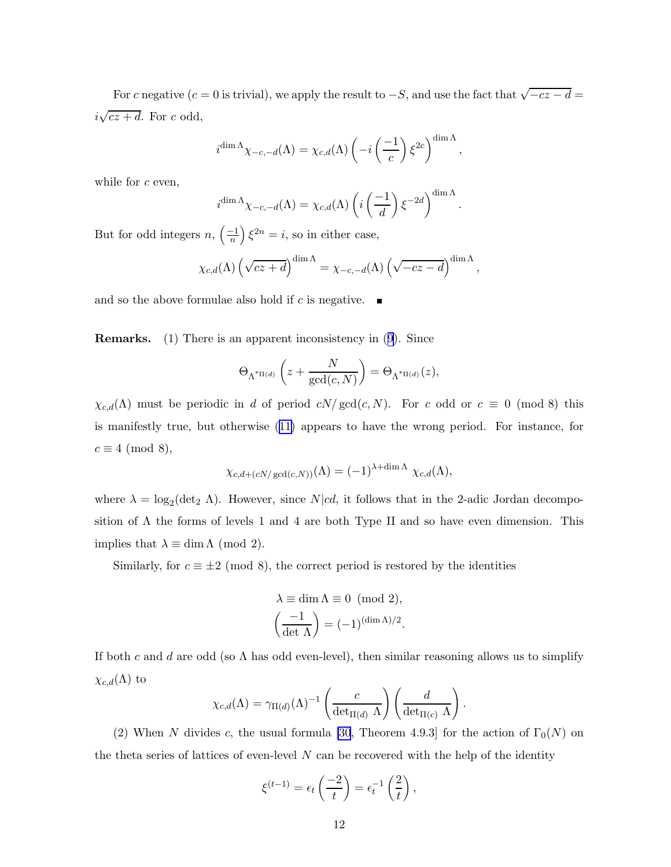For c negative  $(c = 0$  is trivial), we apply the result to  $-S$ , and use the fact that  $\sqrt{-cz - d} =$  $i\sqrt{cz+d}$ . For c odd,

$$
i^{\dim \Lambda} \chi_{-c,-d}(\Lambda) = \chi_{c,d}(\Lambda) \left(-i \left(\frac{-1}{c}\right) \xi^{2c}\right)^{\dim \Lambda},
$$

while for  $c$  even,

$$
i^{\dim \Lambda} \chi_{-c,-d}(\Lambda) = \chi_{c,d}(\Lambda) \left( i \left( \frac{-1}{d} \right) \xi^{-2d} \right)^{\dim \Lambda}.
$$

But for odd integers  $n, \left(\frac{-1}{n}\right) \xi^{2n} = i$ , so in either case,

$$
\chi_{c,d}(\Lambda) \left(\sqrt{cz+d}\right)^{\dim \Lambda} = \chi_{-c,-d}(\Lambda) \left(\sqrt{-cz-d}\right)^{\dim \Lambda},\,
$$

and so the above formulae also hold if c is negative.  $\blacksquare$ 

Remarks. (1) There is an apparent inconsistency in([9](#page-9-0)). Since

$$
\Theta_{\Lambda^{\ast}\Pi(d)}\left(z+\frac{N}{\gcd(c,N)}\right)=\Theta_{\Lambda^{\ast}\Pi(d)}(z),
$$

 $\chi_{c,d}(\Lambda)$  must be periodic in d of period  $cN/\gcd(c,N)$ . For c odd or  $c \equiv 0 \pmod{8}$  this is manifestly true, but otherwise([11\)](#page-9-0) appears to have the wrong period. For instance, for  $c \equiv 4 \pmod{8}$ ,

$$
\chi_{c,d+(cN/\gcd(c,N))}(\Lambda) = (-1)^{\lambda + \dim \Lambda} \chi_{c,d}(\Lambda),
$$

where  $\lambda = \log_2(\det_2 \Lambda)$ . However, since  $N|cd$ , it follows that in the 2-adic Jordan decomposition of  $\Lambda$  the forms of levels 1 and 4 are both Type II and so have even dimension. This implies that  $\lambda \equiv \dim \Lambda \pmod{2}$ .

Similarly, for  $c \equiv \pm 2 \pmod{8}$ , the correct period is restored by the identities

$$
\lambda \equiv \dim \Lambda \equiv 0 \pmod{2},
$$

$$
\left(\frac{-1}{\det \Lambda}\right) = (-1)^{(\dim \Lambda)/2}.
$$

If both c and d are odd (so  $\Lambda$  has odd even-level), then similar reasoning allows us to simplify  $\chi_{c,d}(\Lambda)$  to

$$
\chi_{c,d}(\Lambda) = \gamma_{\Pi(d)}(\Lambda)^{-1} \left( \frac{c}{\det_{\Pi(d)} \Lambda} \right) \left( \frac{d}{\det_{\Pi(c)} \Lambda} \right).
$$

(2) When N divides c, the usual formula [\[30](#page-30-0), Theorem 4.9.3] for the action of  $\Gamma_0(N)$  on the theta series of lattices of even-level  $N$  can be recovered with the help of the identity

$$
\xi^{(t-1)} = \epsilon_t \left(\frac{-2}{t}\right) = \epsilon_t^{-1} \left(\frac{2}{t}\right),
$$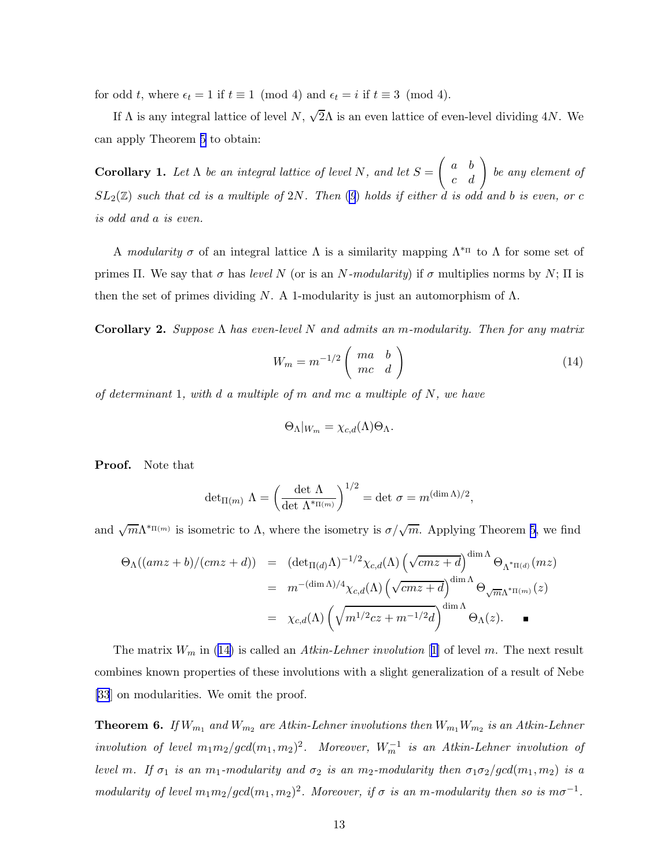<span id="page-13-0"></span>for odd t, where  $\epsilon_t = 1$  if  $t \equiv 1 \pmod{4}$  and  $\epsilon_t = i$  if  $t \equiv 3 \pmod{4}$ .

If  $\Lambda$  is any integral lattice of level  $N$ ,  $\sqrt{2}\Lambda$  is an even lattice of even-level dividing 4N. We can apply Theorem [5](#page-9-0) to obtain:

**Corollary 1.** Let  $\Lambda$  be an integral lattice of level N, and let  $S =$  $\left(\begin{array}{cc} a & b \\ c & d \end{array}\right)$  be any element of  $SL_2(\mathbb{Z})$  such that cd is a multiple of 2N. Then ([9](#page-9-0)) holds if either d is odd and b is even, or c is odd and a is even.

A modularity  $\sigma$  of an integral lattice  $\Lambda$  is a similarity mapping  $\Lambda^{*_{\Pi}}$  to  $\Lambda$  for some set of primes Π. We say that  $\sigma$  has level N (or is an N-modularity) if  $\sigma$  multiplies norms by N; Π is then the set of primes dividing N. A 1-modularity is just an automorphism of  $\Lambda$ .

Corollary 2. Suppose  $\Lambda$  has even-level N and admits an m-modularity. Then for any matrix

$$
W_m = m^{-1/2} \left( \begin{array}{cc} ma & b \\ mc & d \end{array} \right) \tag{14}
$$

of determinant 1, with d a multiple of m and mc a multiple of N, we have

$$
\Theta_{\Lambda}|_{W_m} = \chi_{c,d}(\Lambda)\Theta_{\Lambda}.
$$

Proof. Note that

$$
\det_{\Pi(m)} \Lambda = \left(\frac{\det \Lambda}{\det \Lambda^{*_{\Pi(m)}}}\right)^{1/2} = \det \sigma = m^{(\dim \Lambda)/2},
$$

and  $\sqrt{m}\Lambda^{*_{\Pi(m)}}$  is isometric to  $\Lambda$ , where the isometry is  $\sigma/\sqrt{m}$ . Applying Theorem [5](#page-9-0), we find

$$
\Theta_{\Lambda}((amz+b)/(cmz+d)) = (\det_{\Pi(d)}\Lambda)^{-1/2} \chi_{c,d}(\Lambda) \left(\sqrt{cmz+d}\right)^{\dim \Lambda} \Theta_{\Lambda^*\Pi(d)}(mz)
$$
  

$$
= m^{-(\dim \Lambda)/4} \chi_{c,d}(\Lambda) \left(\sqrt{cmz+d}\right)^{\dim \Lambda} \Theta_{\sqrt{m}\Lambda^*\Pi(m)}(z)
$$
  

$$
= \chi_{c,d}(\Lambda) \left(\sqrt{m^{1/2}cz+m^{-1/2}d}\right)^{\dim \Lambda} \Theta_{\Lambda}(z).
$$

The matrix  $W_m$  in ([1](#page-28-0)4) is called an Atkin-Lehner involution [1] of level m. The next result combines known properties of these involutions with a slight generalization of a result of Nebe [\[33](#page-31-0)] on modularities. We omit the proof.

**Theorem 6.** If  $W_{m_1}$  and  $W_{m_2}$  are Atkin-Lehner involutions then  $W_{m_1}W_{m_2}$  is an Atkin-Lehner involution of level  $m_1 m_2/gcd(m_1, m_2)^2$ . Moreover,  $W_m^{-1}$  is an Atkin-Lehner involution of level m. If  $\sigma_1$  is an m<sub>1</sub>-modularity and  $\sigma_2$  is an m<sub>2</sub>-modularity then  $\sigma_1\sigma_2/gcd(m_1, m_2)$  is a modularity of level  $m_1m_2/gcd(m_1, m_2)^2$ . Moreover, if  $\sigma$  is an m-modularity then so is  $m\sigma^{-1}$ .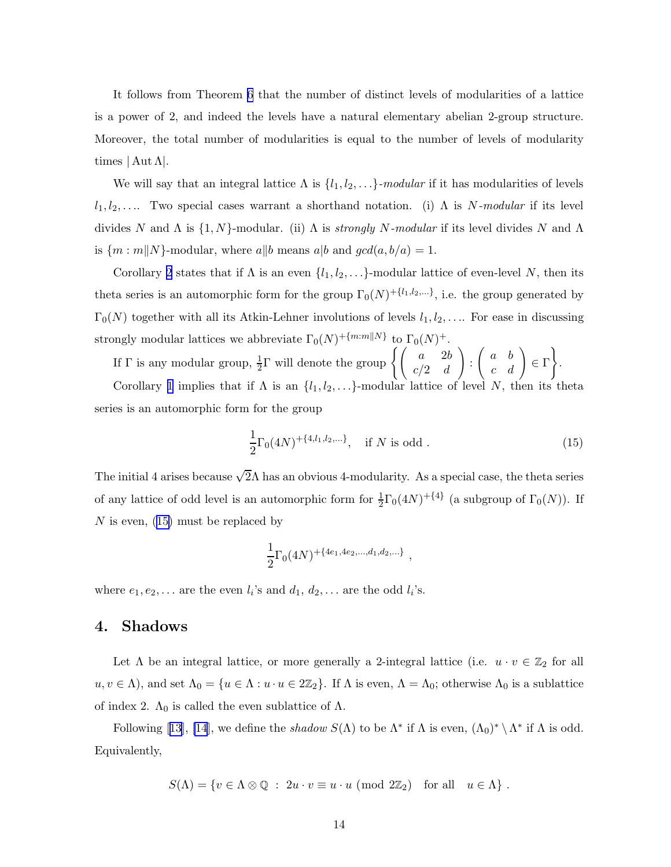It follows from Theorem [6](#page-13-0) that the number of distinct levels of modularities of a lattice is a power of 2, and indeed the levels have a natural elementary abelian 2-group structure. Moreover, the total number of modularities is equal to the number of levels of modularity times  $|\operatorname{Aut}\Lambda|$ .

We will say that an integral lattice  $\Lambda$  is  $\{l_1, l_2, \ldots\}$ -modular if it has modularities of levels  $l_1, l_2, \ldots$  Two special cases warrant a shorthand notation. (i)  $\Lambda$  is N-modular if its level divides N and  $\Lambda$  is  $\{1, N\}$ -modular. (ii)  $\Lambda$  is *strongly N-modular* if its level divides N and  $\Lambda$ is  $\{m : m\|N\}$ -modular, where  $a\|b$  means  $a\|b$  and  $\gcd(a, b/a) = 1$ .

Corollary [2](#page-13-0) states that if  $\Lambda$  is an even  $\{l_1, l_2, \ldots\}$ -modular lattice of even-level N, then its theta series is an automorphic form for the group  $\Gamma_0(N)^{|\{l_1,l_2,...\}}$ , i.e. the group generated by  $\Gamma_0(N)$  together with all its Atkin-Lehner involutions of levels  $l_1, l_2, \ldots$ . For ease in discussing strongly modular lattices we abbreviate  $\Gamma_0(N)^{\mathcal{H}[m:m]|N}$  to  $\Gamma_0(N)^{\mathcal{H}}$ .

If  $\Gamma$  is any modular group,  $\frac{1}{2}\Gamma$  will denote the group  $\left\{ \begin{pmatrix} a & 2b \\ c/2 & d \end{pmatrix} \right\}$  $\setminus$ :  $\left(\begin{array}{cc} a & b \\ c & d \end{array}\right) \in \Gamma$  $\mathcal{L}$ .

Corollary [1](#page-13-0) implies that if  $\Lambda$  is an  $\{l_1, l_2, \ldots\}$ -modular lattice of level N, then its theta series is an automorphic form for the group

$$
\frac{1}{2}\Gamma_0(4N)^{+\{4,l_1,l_2,\ldots\}}, \quad \text{if } N \text{ is odd }.
$$
 (15)

The initial 4 arises because  $\sqrt{2}\Lambda$  has an obvious 4-modularity. As a special case, the theta series of any lattice of odd level is an automorphic form for  $\frac{1}{2}\Gamma_0(4N)^{+\{4\}}$  (a subgroup of  $\Gamma_0(N)$ ). If N is even,  $(15)$  must be replaced by

$$
\frac{1}{2}\Gamma_0(4N)^{+\{4e_1, 4e_2, \dots, d_1, d_2, \dots\}},
$$

where  $e_1, e_2, \ldots$  are the even  $l_i$ 's and  $d_1, d_2, \ldots$  are the odd  $l_i$ 's.

# 4. Shadows

Let  $\Lambda$  be an integral lattice, or more generally a 2-integral lattice (i.e.  $u \cdot v \in \mathbb{Z}_2$  for all  $u, v \in \Lambda$ ), and set  $\Lambda_0 = \{u \in \Lambda : u \cdot u \in 2\mathbb{Z}_2\}$ . If  $\Lambda$  is even,  $\Lambda = \Lambda_0$ ; otherwise  $\Lambda_0$  is a sublattice of index 2.  $\Lambda_0$  is called the even sublattice of  $\Lambda$ .

Following[[13\]](#page-29-0), [\[14](#page-29-0)], we define the *shadow*  $S(\Lambda)$  to be  $\Lambda^*$  if  $\Lambda$  is even,  $(\Lambda_0)^* \setminus \Lambda^*$  if  $\Lambda$  is odd. Equivalently,

$$
S(\Lambda) = \{ v \in \Lambda \otimes \mathbb{Q} : 2u \cdot v \equiv u \cdot u \pmod{2\mathbb{Z}_2} \text{ for all } u \in \Lambda \} .
$$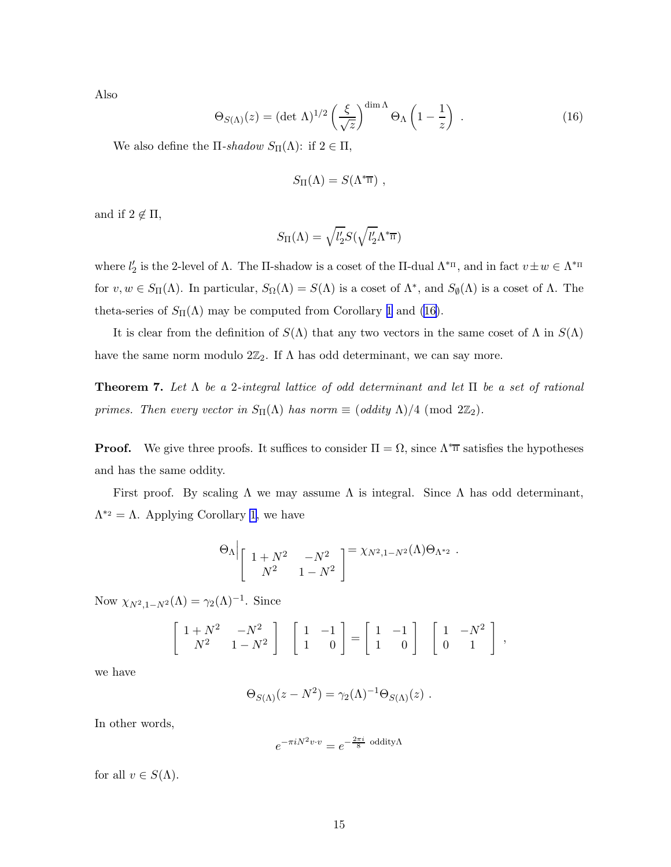<span id="page-15-0"></span>Also

$$
\Theta_{S(\Lambda)}(z) = (\det \Lambda)^{1/2} \left(\frac{\xi}{\sqrt{z}}\right)^{\dim \Lambda} \Theta_{\Lambda} \left(1 - \frac{1}{z}\right) . \tag{16}
$$

We also define the  $\Pi$ -shadow  $S_{\Pi}(\Lambda)$ : if  $2 \in \Pi$ ,

$$
S_{\Pi}(\Lambda) = S(\Lambda^{\ast \overline{\mathfrak{m}}}) ,
$$

and if  $2 \notin \Pi$ ,

$$
S_{\Pi}(\Lambda) = \sqrt{l_2'S}(\sqrt{l_2'}\Lambda^{*_{\overline{\Pi}}})
$$

where  $l'_2$  is the 2-level of  $\Lambda$ . The  $\Pi$ -shadow is a coset of the  $\Pi$ -dual  $\Lambda^{*_{\Pi}},$  and in fact  $v \pm w \in \Lambda^{*_{\Pi}}$ for  $v, w \in S_{\Pi}(\Lambda)$ . In particular,  $S_{\Omega}(\Lambda) = S(\Lambda)$  is a coset of  $\Lambda^*$ , and  $S_{\emptyset}(\Lambda)$  is a coset of  $\Lambda$ . The theta-series of  $S_{\Pi}(\Lambda)$  may be computed from Corollary [1](#page-13-0) and (16).

It is clear from the definition of  $S(\Lambda)$  that any two vectors in the same coset of  $\Lambda$  in  $S(\Lambda)$ have the same norm modulo  $2\mathbb{Z}_2$ . If  $\Lambda$  has odd determinant, we can say more.

**Theorem 7.** Let  $\Lambda$  be a 2-integral lattice of odd determinant and let  $\Pi$  be a set of rational primes. Then every vector in  $S_{\Pi}(\Lambda)$  has norm  $\equiv$  (oddity  $\Lambda)/4$  (mod  $2\mathbb{Z}_2$ ).

**Proof.** We give three proofs. It suffices to consider  $\Pi = \Omega$ , since  $\Lambda^* \overline{\pi}$  satisfies the hypotheses and has the same oddity.

First proof. By scaling  $\Lambda$  we may assume  $\Lambda$  is integral. Since  $\Lambda$  has odd determinant,  $\Lambda^{*2} = \Lambda$ . Applying Corollary [1,](#page-13-0) we have

$$
\Theta_{\Lambda} \Bigg|_{\begin{bmatrix} 1+N^2 & -N^2 \\ N^2 & 1-N^2 \end{bmatrix}} = \chi_{N^2,1-N^2}(\Lambda) \Theta_{\Lambda^{*2}}.
$$

Now  $\chi_{N^2,1-N^2}(\Lambda) = \gamma_2(\Lambda)^{-1}$ . Since

$$
\left[\begin{array}{cc} 1+N^2 & -N^2 \\ N^2 & 1-N^2 \end{array}\right] \quad \left[\begin{array}{cc} 1 & -1 \\ 1 & 0 \end{array}\right] = \left[\begin{array}{cc} 1 & -1 \\ 1 & 0 \end{array}\right] \quad \left[\begin{array}{cc} 1 & -N^2 \\ 0 & 1 \end{array}\right] ,
$$

we have

$$
\Theta_{S(\Lambda)}(z-N^2)=\gamma_2(\Lambda)^{-1}\Theta_{S(\Lambda)}(z) .
$$

In other words,

$$
e^{-\pi i N^2 v \cdot v} = e^{-\frac{2\pi i}{8} \text{ oddity} \Lambda}
$$

for all  $v \in S(\Lambda)$ .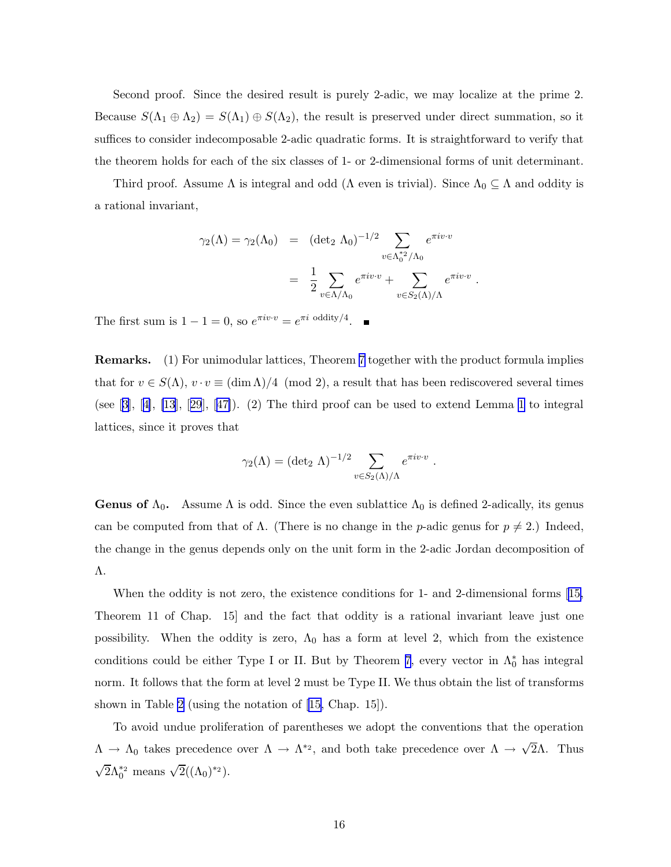<span id="page-16-0"></span>Second proof. Since the desired result is purely 2-adic, we may localize at the prime 2. Because  $S(\Lambda_1 \oplus \Lambda_2) = S(\Lambda_1) \oplus S(\Lambda_2)$ , the result is preserved under direct summation, so it suffices to consider indecomposable 2-adic quadratic forms. It is straightforward to verify that the theorem holds for each of the six classes of 1- or 2-dimensional forms of unit determinant.

Third proof. Assume  $\Lambda$  is integral and odd ( $\Lambda$  even is trivial). Since  $\Lambda_0 \subseteq \Lambda$  and oddity is a rational invariant,

$$
\gamma_2(\Lambda) = \gamma_2(\Lambda_0) = (\det_2 \Lambda_0)^{-1/2} \sum_{v \in \Lambda_0^{*2}/\Lambda_0} e^{\pi i v \cdot v}
$$

$$
= \frac{1}{2} \sum_{v \in \Lambda/\Lambda_0} e^{\pi i v \cdot v} + \sum_{v \in S_2(\Lambda)/\Lambda} e^{\pi i v \cdot v}.
$$

The first sum is  $1 - 1 = 0$ , so  $e^{\pi i v \cdot v} = e^{\pi i \text{ oddity}/4}$ .

Remarks. (1) For unimodular lattices, Theorem [7](#page-15-0) together with the product formula implies that for  $v \in S(\Lambda)$ ,  $v \cdot v \equiv (\dim \Lambda)/4 \pmod{2}$ , a result that has been rediscovered several times (see $[3]$  $[3]$  $[3]$ ,  $[4]$  $[4]$ ,  $[13]$ ,  $[29]$  $[29]$  $[29]$ ,  $[47]$  $[47]$ ). (2) The third proof can be used to extend Lemma [1](#page-8-0) to integral lattices, since it proves that

$$
\gamma_2(\Lambda) = (\det_2 \Lambda)^{-1/2} \sum_{v \in S_2(\Lambda)/\Lambda} e^{\pi i v \cdot v} .
$$

**Genus of**  $\Lambda_0$ . Assume  $\Lambda$  is odd. Since the even sublattice  $\Lambda_0$  is defined 2-adically, its genus can be computed from that of  $\Lambda$ . (There is no change in the *p*-adic genus for  $p \neq 2$ .) Indeed, the change in the genus depends only on the unit form in the 2-adic Jordan decomposition of Λ.

When the oddity is not zero, the existence conditions for 1- and 2-dimensional forms[[15,](#page-29-0) Theorem 11 of Chap. 15] and the fact that oddity is a rational invariant leave just one possibility. When the oddity is zero,  $\Lambda_0$  has a form at level 2, which from the existence conditions could be either Type I or II. But by Theorem [7](#page-15-0), every vector in  $\Lambda_0^*$  has integral norm. It follows that the form at level 2 must be Type II. We thus obtain the list of transforms shown in Table [2](#page-17-0) (using the notation of [\[15,](#page-29-0) Chap. 15]).

To avoid undue proliferation of parentheses we adopt the conventions that the operation  $\Lambda \to \Lambda_0$  takes precedence over  $\Lambda \to \Lambda^{*2}$ , and both take precedence over  $\Lambda \to \sqrt{2}\Lambda$ . Thus  $\sqrt{2}\Lambda_0^{*2}$  means  $\sqrt{2}((\Lambda_0)^{*2}).$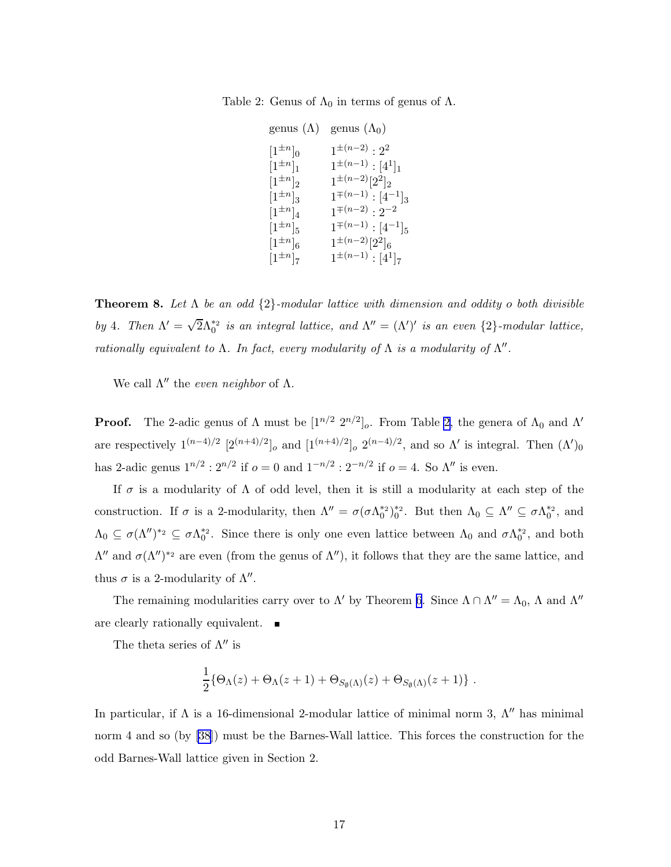<span id="page-17-0"></span>Table 2: Genus of  $\Lambda_0$  in terms of genus of  $\Lambda$ .

genus  $(\Lambda)$  genus  $(\Lambda_0)$  $[1^{\pm n}]_0$  $]_0$  1  $1^{\pm(n-2)}:2^2$  $[1^{\pm n}]_1$   $1^{\pm (n-1)}$  :  $[4^1]_1$  $[1^{\pm n}]_2$   $1^{\pm (n-2)} [2^2]_2$  $[1^{\pm n}]_3$   $1^{\mp(n-1)}$ :  $[4^{-1}]_3$  $[1^{\pm n}]_4$   $1^{\mp(n-2)} : 2^{-2}$  $[1^{\pm n}]_5$   $1^{\mp(n-1)}$ :  $[4^{-1}]_5$  $[1^{\pm n}]_6$   $1^{\pm (n-2)}[2^2]_6$  $[1^{\pm n}]_7$   $1^{\pm (n-1)}$  :  $[4^1]_7$ 

**Theorem 8.** Let  $\Lambda$  be an odd  $\{2\}$ -modular lattice with dimension and oddity o both divisible by 4. Then  $\Lambda' = \sqrt{2} \Lambda_0^{*2}$  is an integral lattice, and  $\Lambda'' = (\Lambda')'$  is an even  $\{2\}$ -modular lattice, rationally equivalent to  $\Lambda$ . In fact, every modularity of  $\Lambda$  is a modularity of  $\Lambda''$ .

We call  $\Lambda''$  the *even neighbor* of  $\Lambda$ .

**Proof.** The 2-adic genus of  $\Lambda$  must be  $[1^{n/2} 2^{n/2}]_o$ . From Table 2, the genera of  $\Lambda_0$  and  $\Lambda'$ are respectively  $1^{(n-4)/2}$   $[2^{(n+4)/2}]_o$  and  $[1^{(n+4)/2}]_o$   $2^{(n-4)/2}$ , and so  $\Lambda'$  is integral. Then  $(\Lambda')_0$ has 2-adic genus  $1^{n/2}$ :  $2^{n/2}$  if  $o = 0$  and  $1^{-n/2}$ :  $2^{-n/2}$  if  $o = 4$ . So  $\Lambda''$  is even.

If  $\sigma$  is a modularity of  $\Lambda$  of odd level, then it is still a modularity at each step of the construction. If  $\sigma$  is a 2-modularity, then  $\Lambda'' = \sigma(\sigma \Lambda_0^{*2})_0^{*2}$ . But then  $\Lambda_0 \subseteq \Lambda'' \subseteq \sigma \Lambda_0^{*2}$ , and  $\Lambda_0 \subseteq \sigma(\Lambda'')^{*2} \subseteq \sigma \Lambda_0^{*2}$ . Since there is only one even lattice between  $\Lambda_0$  and  $\sigma \Lambda_0^{*2}$ , and both  $\Lambda''$  and  $\sigma(\Lambda'')^{*2}$  are even (from the genus of  $\Lambda''$ ), it follows that they are the same lattice, and thus  $\sigma$  is a 2-modularity of  $\Lambda''$ .

The remaining modularities carry over to  $\Lambda'$  by Theorem [6](#page-13-0). Since  $\Lambda \cap \Lambda'' = \Lambda_0$ ,  $\Lambda$  and  $\Lambda''$ are clearly rationally equivalent.  $\blacksquare$ 

The theta series of  $\Lambda''$  is

$$
\frac{1}{2}\{\Theta_{\Lambda}(z)+\Theta_{\Lambda}(z+1)+\Theta_{S_{\emptyset}(\Lambda)}(z)+\Theta_{S_{\emptyset}(\Lambda)}(z+1)\}.
$$

In particular, if  $\Lambda$  is a 16-dimensional 2-modular lattice of minimal norm 3,  $\Lambda''$  has minimal norm 4 and so (by [\[38](#page-31-0)]) must be the Barnes-Wall lattice. This forces the construction for the odd Barnes-Wall lattice given in Section 2.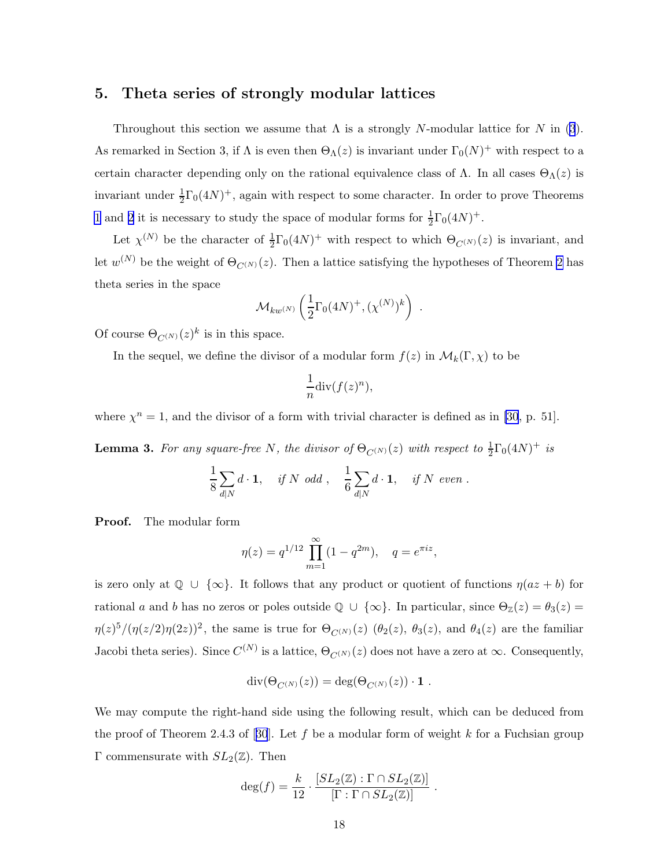# 5. Theta series of strongly modular lattices

Throughout this section we assume that  $\Lambda$  is a strongly N-modular lattice for N in [\(3](#page-2-0)). As remarked in Section 3, if  $\Lambda$  is even then  $\Theta_{\Lambda}(z)$  is invariant under  $\Gamma_0(N)^+$  with respect to a certain character depending only on the rational equivalence class of  $\Lambda$ . In all cases  $\Theta_{\Lambda}(z)$  is invariant under  $\frac{1}{2}\Gamma_0(4N)^+$ , again with respect to some character. In order to prove Theorems [1](#page-1-0) and [2](#page-3-0) it is necessary to study the space of modular forms for  $\frac{1}{2}\Gamma_0(4N)^+$ .

Let  $\chi^{(N)}$  be the character of  $\frac{1}{2}\Gamma_0(4N)^+$  with respect to which  $\Theta_{C^{(N)}}(z)$  is invariant, and let  $w^{(N)}$  be the weight of  $\Theta_{C^{(N)}}(z)$ . Then a lattice satisfying the hypotheses of Theorem [2](#page-3-0) has theta series in the space

$$
\mathcal{M}_{kw^{(N)}}\left(\frac{1}{2}\Gamma_0(4N)^+ , (\chi^{(N)})^k\right) \ .
$$

Of course  $\Theta_{C^{(N)}}(z)^k$  is in this space.

In the sequel, we define the divisor of a modular form  $f(z)$  in  $\mathcal{M}_k(\Gamma,\chi)$  to be

$$
\frac{1}{n}\mathrm{div}(f(z)^n),
$$

where  $\chi^n = 1$ , and the divisor of a form with trivial character is defined as in [\[30](#page-30-0), p. 51].

**Lemma 3.** For any square-free N, the divisor of  $\Theta_{C^{(N)}}(z)$  with respect to  $\frac{1}{2}\Gamma_0(4N)^+$  is

$$
\frac{1}{8} \sum_{d|N} d \cdot \mathbf{1}, \quad \text{if } N \text{ odd }, \quad \frac{1}{6} \sum_{d|N} d \cdot \mathbf{1}, \quad \text{if } N \text{ even }.
$$

Proof. The modular form

$$
\eta(z) = q^{1/12} \prod_{m=1}^{\infty} (1 - q^{2m}), \quad q = e^{\pi i z},
$$

is zero only at  $\mathbb{Q} \cup \{\infty\}$ . It follows that any product or quotient of functions  $\eta(az + b)$  for rational a and b has no zeros or poles outside  $\mathbb{Q} \cup \{\infty\}$ . In particular, since  $\Theta_{\mathbb{Z}}(z) = \theta_3(z) =$  $\eta(z)^5/(\eta(z/2)\eta(2z))^2$ , the same is true for  $\Theta_{C^{(N)}}(z)$  ( $\theta_2(z)$ ,  $\theta_3(z)$ , and  $\theta_4(z)$  are the familiar Jacobi theta series). Since  $C^{(N)}$  is a lattice,  $\Theta_{C^{(N)}}(z)$  does not have a zero at  $\infty$ . Consequently,

$$
\mathrm{div}(\Theta_{C^{(N)}}(z)) = \mathrm{deg}(\Theta_{C^{(N)}}(z)) \cdot \mathbf{1} .
$$

We may compute the right-hand side using the following result, which can be deduced from theproof of Theorem 2.4.3 of [[30](#page-30-0)]. Let  $f$  be a modular form of weight  $k$  for a Fuchsian group Γ commensurate with  $SL_2(\mathbb{Z})$ . Then

$$
\deg(f) = \frac{k}{12} \cdot \frac{[SL_2(\mathbb{Z}) : \Gamma \cap SL_2(\mathbb{Z})]}{[\Gamma : \Gamma \cap SL_2(\mathbb{Z})]}.
$$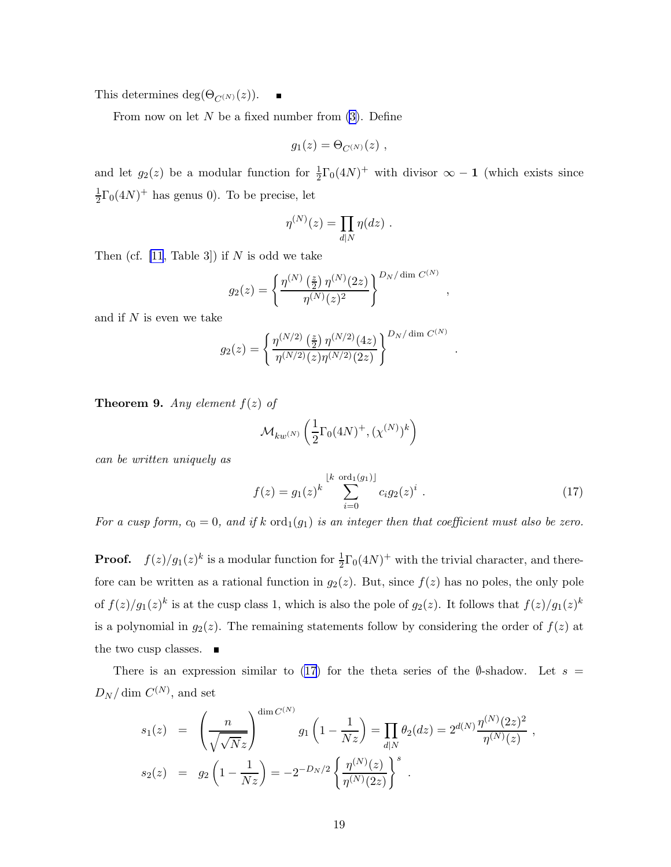<span id="page-19-0"></span>This determines deg( $\Theta_{C^{(N)}}(z)$ ).

From now on let  $N$  be a fixed number from  $(3)$ . Define

$$
g_1(z) = \Theta_{C^{(N)}}(z) ,
$$

and let  $g_2(z)$  be a modular function for  $\frac{1}{2}\Gamma_0(4N)^+$  with divisor  $\infty - 1$  (which exists since 1  $\frac{1}{2}\Gamma_0(4N)^+$  has genus 0). To be precise, let

$$
\eta^{(N)}(z) = \prod_{d|N} \eta(dz) .
$$

Then (cf.  $[11, \text{Table 3}]$ ) if N is odd we take

$$
g_2(z) = \left\{ \frac{\eta^{(N)}\left(\frac{z}{2}\right) \eta^{(N)}(2z)}{\eta^{(N)}(z)^2} \right\}^{D_N/\dim C^{(N)}}
$$

and if  $N$  is even we take

$$
g_2(z) = \left\{ \frac{\eta^{(N/2)}\left(\frac{z}{2}\right) \eta^{(N/2)}(4z)}{\eta^{(N/2)}(z) \eta^{(N/2)}(2z)} \right\}^{D_N/\dim C^{(N)}}
$$

**Theorem 9.** Any element  $f(z)$  of

$$
\mathcal{M}_{kw^{(N)}}\left(\frac{1}{2}\Gamma_0(4N)^+ , (\chi^{(N)})^k\right)
$$

can be written uniquely as

$$
f(z) = g_1(z)^k \sum_{i=0}^{\lfloor k \text{ ord}_1(g_1) \rfloor} c_i g_2(z)^i . \qquad (17)
$$

,

.

For a cusp form,  $c_0 = 0$ , and if k  $\text{ord}_1(g_1)$  is an integer then that coefficient must also be zero.

**Proof.**  $f(z)/g_1(z)^k$  is a modular function for  $\frac{1}{2}\Gamma_0(4N)^+$  with the trivial character, and therefore can be written as a rational function in  $g_2(z)$ . But, since  $f(z)$  has no poles, the only pole of  $f(z)/g_1(z)^k$  is at the cusp class 1, which is also the pole of  $g_2(z)$ . It follows that  $f(z)/g_1(z)^k$ is a polynomial in  $g_2(z)$ . The remaining statements follow by considering the order of  $f(z)$  at the two cusp classes.  $\blacksquare$ 

There is an expression similar to (17) for the theta series of the  $\emptyset$ -shadow. Let  $s =$  $D_N/\dim C^{(N)}$ , and set

 $\overline{a}$ 

$$
s_1(z) = \left(\frac{n}{\sqrt{\sqrt{N}z}}\right)^{\dim C^{(N)}} g_1\left(1 - \frac{1}{Nz}\right) = \prod_{d|N} \theta_2(dz) = 2^{d(N)} \frac{\eta^{(N)}(2z)^2}{\eta^{(N)}(z)},
$$
  

$$
s_2(z) = g_2\left(1 - \frac{1}{Nz}\right) = -2^{-D_N/2} \left\{\frac{\eta^{(N)}(z)}{\eta^{(N)}(2z)}\right\}^s.
$$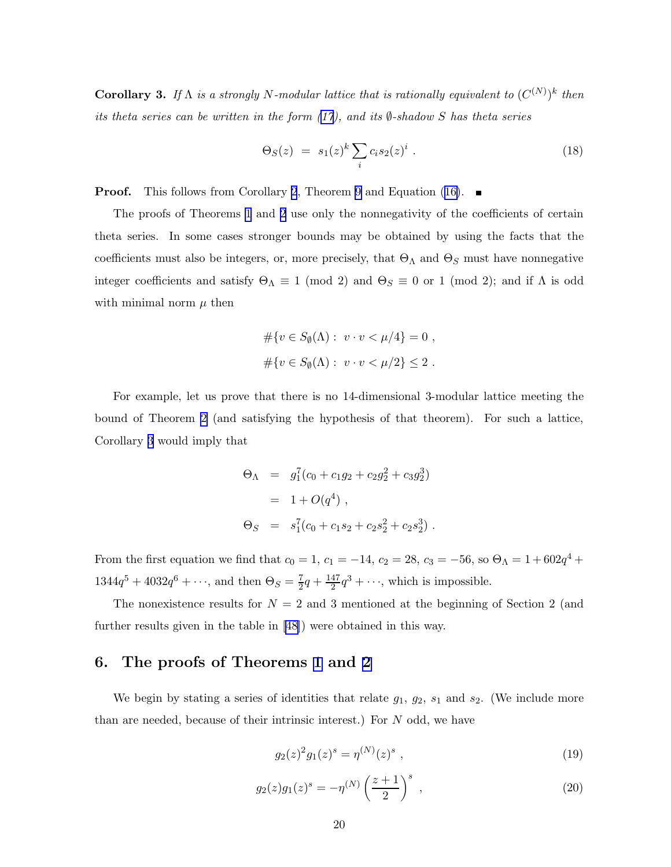<span id="page-20-0"></span>**Corollary 3.** If  $\Lambda$  is a strongly N-modular lattice that is rationally equivalent to  $(C^{(N)})^k$  then its theta series can be written in the form  $(17)$  $(17)$ , and its  $\emptyset$ -shadow S has theta series

$$
\Theta_S(z) = s_1(z)^k \sum_i c_i s_2(z)^i . \tag{18}
$$

**Proof.** This follows from Corollary [2](#page-13-0), Theorem [9](#page-19-0)and Equation ([16\)](#page-15-0).  $\blacksquare$ 

The proofs of Theorems [1](#page-1-0) and [2](#page-3-0) use only the nonnegativity of the coefficients of certain theta series. In some cases stronger bounds may be obtained by using the facts that the coefficients must also be integers, or, more precisely, that  $\Theta_{\Lambda}$  and  $\Theta_{S}$  must have nonnegative integer coefficients and satisfy  $\Theta_{\Lambda} \equiv 1 \pmod{2}$  and  $\Theta_{S} \equiv 0$  or 1 (mod 2); and if  $\Lambda$  is odd with minimal norm  $\mu$  then

$$
#\{v \in S_{\emptyset}(\Lambda) : v \cdot v < \mu/4\} = 0 ,
$$
  

$$
\#\{v \in S_{\emptyset}(\Lambda) : v \cdot v < \mu/2\} \leq 2 .
$$

For example, let us prove that there is no 14-dimensional 3-modular lattice meeting the bound of Theorem [2](#page-3-0) (and satisfying the hypothesis of that theorem). For such a lattice, Corollary [3](#page-19-0) would imply that

$$
\Theta_{\Lambda} = g_1^7 (c_0 + c_1 g_2 + c_2 g_2^2 + c_3 g_2^3)
$$
  
= 1 + O(q<sup>4</sup>) ,  

$$
\Theta_S = s_1^7 (c_0 + c_1 s_2 + c_2 s_2^2 + c_2 s_2^3) .
$$

From the first equation we find that  $c_0 = 1$ ,  $c_1 = -14$ ,  $c_2 = 28$ ,  $c_3 = -56$ , so  $\Theta_{\Lambda} = 1 + 602q^4 +$  $1344q^5 + 4032q^6 + \cdots$ , and then  $\Theta_S = \frac{7}{2}q + \frac{147}{2}q^3 + \cdots$ , which is impossible.

The nonexistence results for  $N = 2$  and 3 mentioned at the beginning of Section 2 (and further results given in the table in[[48\]](#page-32-0)) were obtained in this way.

# 6. The proofs of Theorems [1](#page-1-0) and [2](#page-3-0)

We begin by stating a series of identities that relate  $g_1, g_2, s_1$  and  $s_2$ . (We include more than are needed, because of their intrinsic interest.) For N odd, we have

$$
g_2(z)^2 g_1(z)^s = \eta^{(N)}(z)^s , \qquad (19)
$$

$$
g_2(z)g_1(z)^s = -\eta^{(N)}\left(\frac{z+1}{2}\right)^s ,\qquad (20)
$$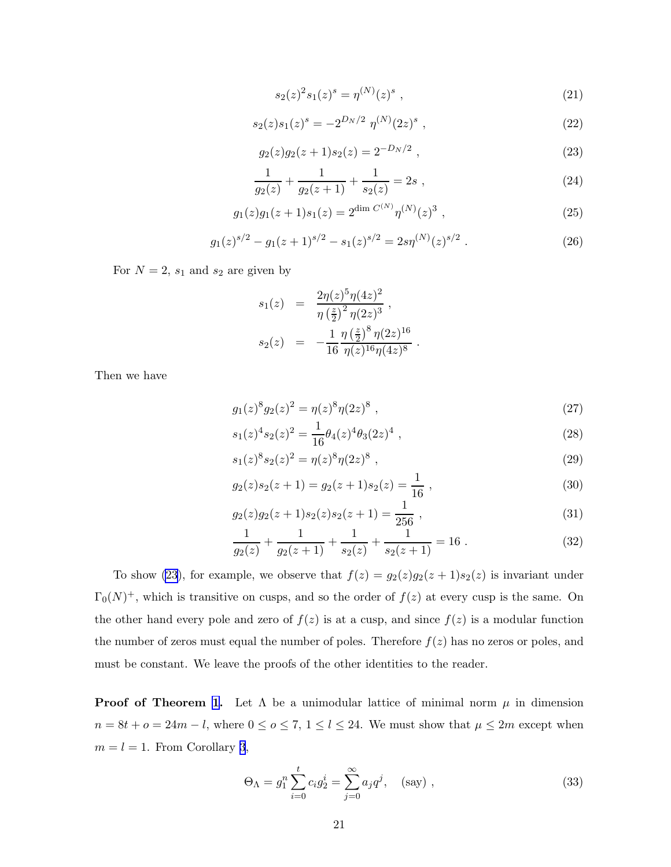$$
s_2(z)^2 s_1(z)^s = \eta^{(N)}(z)^s \tag{21}
$$

<span id="page-21-0"></span>
$$
s_2(z)s_1(z)^s = -2^{D_N/2} \eta^{(N)}(2z)^s , \qquad (22)
$$

$$
g_2(z)g_2(z+1)s_2(z) = 2^{-D_N/2} , \qquad (23)
$$

$$
\frac{1}{g_2(z)} + \frac{1}{g_2(z+1)} + \frac{1}{s_2(z)} = 2s ,
$$
\n(24)

$$
g_1(z)g_1(z+1)s_1(z) = 2^{\dim C^{(N)}} \eta^{(N)}(z)^3 , \qquad (25)
$$

$$
g_1(z)^{s/2} - g_1(z+1)^{s/2} - s_1(z)^{s/2} = 2s\eta^{(N)}(z)^{s/2} . \tag{26}
$$

For  $N = 2$ ,  $s_1$  and  $s_2$  are given by

$$
s_1(z) = \frac{2\eta(z)^5 \eta(4z)^2}{\eta(\frac{z}{2})^2 \eta(2z)^3},
$$
  

$$
s_2(z) = -\frac{1}{16} \frac{\eta(\frac{z}{2})^8 \eta(2z)^{16}}{\eta(z)^{16} \eta(4z)^8}.
$$

Then we have

$$
g_1(z)^8 g_2(z)^2 = \eta(z)^8 \eta(2z)^8 \tag{27}
$$

$$
s_1(z)^4 s_2(z)^2 = \frac{1}{16} \theta_4(z)^4 \theta_3(2z)^4 \tag{28}
$$

$$
s_1(z)^8 s_2(z)^2 = \eta(z)^8 \eta(2z)^8 \tag{29}
$$

$$
g_2(z)s_2(z+1) = g_2(z+1)s_2(z) = \frac{1}{16} \t{,} \t(30)
$$

$$
g_2(z)g_2(z+1)s_2(z)s_2(z+1) = \frac{1}{256} \t{,} \t(31)
$$

$$
\frac{1}{g_2(z)} + \frac{1}{g_2(z+1)} + \frac{1}{s_2(z)} + \frac{1}{s_2(z+1)} = 16.
$$
 (32)

To show (23), for example, we observe that  $f(z) = g_2(z)g_2(z+1)s_2(z)$  is invariant under  $\Gamma_0(N)^+$ , which is transitive on cusps, and so the order of  $f(z)$  at every cusp is the same. On the other hand every pole and zero of  $f(z)$  is at a cusp, and since  $f(z)$  is a modular function the number of zeros must equal the number of poles. Therefore  $f(z)$  has no zeros or poles, and must be constant. We leave the proofs of the other identities to the reader.

**Proof of Theorem [1](#page-1-0).** Let  $\Lambda$  be a unimodular lattice of minimal norm  $\mu$  in dimension  $n = 8t + o = 24m - l$ , where  $0 \le o \le 7$ ,  $1 \le l \le 24$ . We must show that  $\mu \le 2m$  except when  $m = l = 1$ . From Corollary [3](#page-19-0),

$$
\Theta_{\Lambda} = g_1^n \sum_{i=0}^t c_i g_2^i = \sum_{j=0}^\infty a_j q^j, \quad \text{(say)}\,,\tag{33}
$$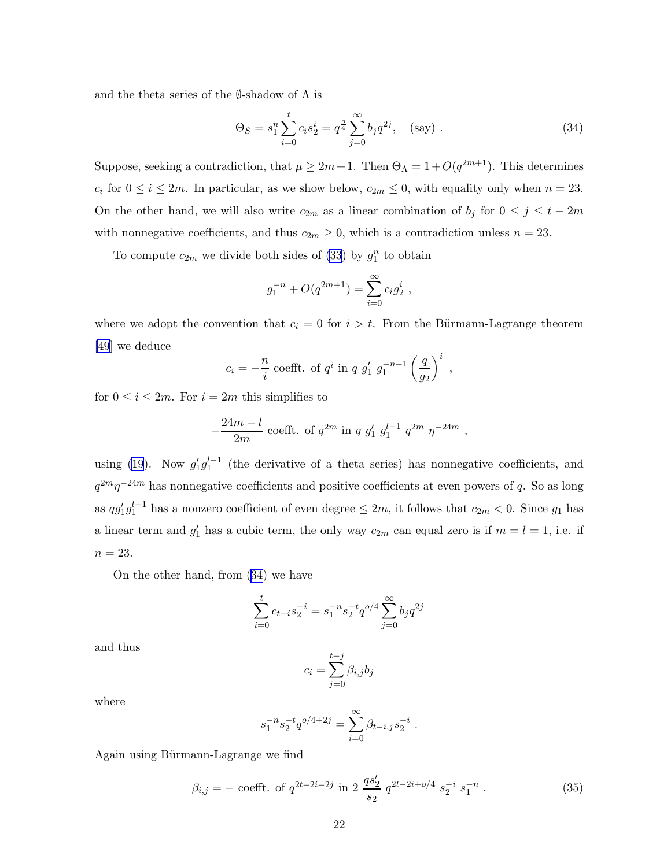<span id="page-22-0"></span>and the theta series of the  $\emptyset$ -shadow of  $\Lambda$  is

$$
\Theta_S = s_1^n \sum_{i=0}^t c_i s_2^i = q^{\frac{\alpha}{4}} \sum_{j=0}^\infty b_j q^{2j}, \quad \text{(say)} \tag{34}
$$

Suppose, seeking a contradiction, that  $\mu \geq 2m+1$ . Then  $\Theta_{\Lambda} = 1 + O(q^{2m+1})$ . This determines  $c_i$  for  $0 \le i \le 2m$ . In particular, as we show below,  $c_{2m} \le 0$ , with equality only when  $n = 23$ . On the other hand, we will also write  $c_{2m}$  as a linear combination of  $b_j$  for  $0 \le j \le t - 2m$ with nonnegative coefficients, and thus  $c_{2m} \geq 0$ , which is a contradiction unless  $n = 23$ .

To compute  $c_{2m}$  we divide both sides of [\(33](#page-21-0)) by  $g_1^n$  to obtain

$$
g_1^{-n} + O(q^{2m+1}) = \sum_{i=0}^{\infty} c_i g_2^i ,
$$

where we adopt the convention that  $c_i = 0$  for  $i > t$ . From the Bürmann-Lagrange theorem [\[49](#page-32-0)] we deduce

$$
c_i = -\frac{n}{i}
$$
 coefft. of  $q^i$  in  $q g'_1 g_1^{-n-1} \left(\frac{q}{g_2}\right)^i$ ,

for  $0 \leq i \leq 2m$ . For  $i = 2m$  this simplifies to

$$
-\frac{24m-l}{2m}\,\csc{fft}.\,\text{ of }q^{2m}\text{ in }q\text{ }g'_1\text{ }g_1^{l-1}\text{ }q^{2m}\text{ }\eta^{-24m}\text{ ,}
$$

using [\(19](#page-20-0)). Now  $g'_1 g_1^{l-1}$  (the derivative of a theta series) has nonnegative coefficients, and  $q^{2m}\eta^{-24m}$  has nonnegative coefficients and positive coefficients at even powers of q. So as long as  $qg'_1g_1^{l-1}$  has a nonzero coefficient of even degree  $\leq 2m$ , it follows that  $c_{2m} < 0$ . Since  $g_1$  has a linear term and  $g'_1$  has a cubic term, the only way  $c_{2m}$  can equal zero is if  $m = l = 1$ , i.e. if  $n = 23$ .

On the other hand, from (34) we have

$$
\sum_{i=0}^{t} c_{t-i} s_2^{-i} = s_1^{-n} s_2^{-t} q^{o/4} \sum_{j=0}^{\infty} b_j q^{2j}
$$

and thus

$$
c_i = \sum_{j=0}^{t-j} \beta_{i,j} b_j
$$

where

$$
s_1^{-n} s_2^{-t} q^{o/4+2j} = \sum_{i=0}^{\infty} \beta_{t-i,j} s_2^{-i} .
$$

Again using Bürmann-Lagrange we find

$$
\beta_{i,j} = -\operatorname{coefft. of} q^{2t - 2i - 2j} \operatorname{in} 2 \frac{qs_2'}{s_2} q^{2t - 2i + o/4} s_2^{-i} s_1^{-n} . \tag{35}
$$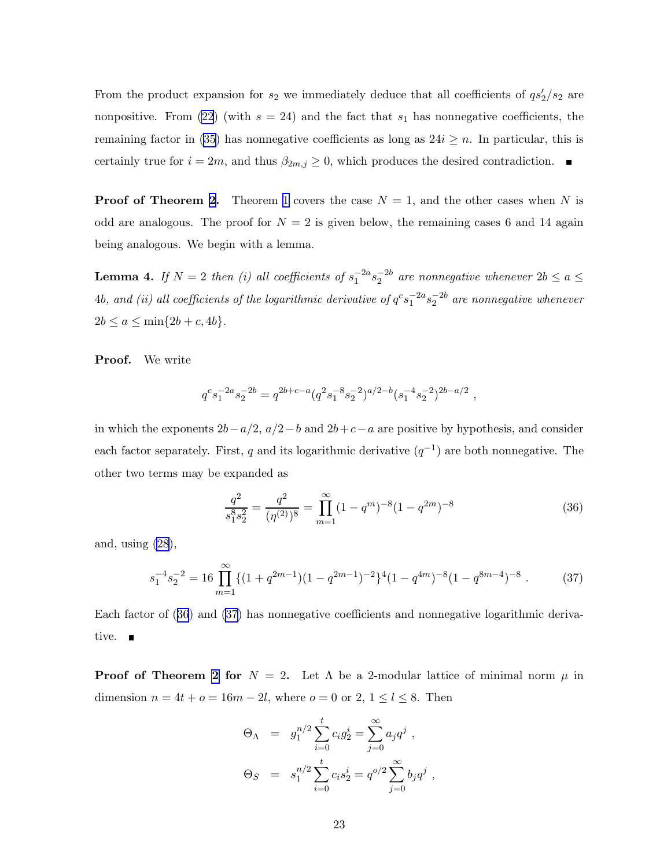From the product expansion for  $s_2$  we immediately deduce that all coefficients of  $qs'_2/s_2$  are nonpositive. From [\(22](#page-21-0)) (with  $s = 24$ ) and the fact that  $s<sub>1</sub>$  has nonnegative coefficients, the remaining factor in [\(35\)](#page-22-0) has nonnegative coefficients as long as  $24i \geq n$ . In particular, this is certainly true for  $i = 2m$ , and thus  $\beta_{2m,j} \geq 0$ , which produces the desired contradiction.  $\blacksquare$ 

**Proof of Theorem [2](#page-3-0).** Theorem [1](#page-1-0) covers the case  $N = 1$ , and the other cases when N is odd are analogous. The proof for  $N = 2$  is given below, the remaining cases 6 and 14 again being analogous. We begin with a lemma.

**Lemma 4.** If  $N = 2$  then (i) all coefficients of  $s_1^{-2a} s_2^{-2b}$  are nonnegative whenever  $2b \le a \le$  $4b,$  and (ii) all coefficients of the logarithmic derivative of  $q^c s_1^{-2a} s_2^{-2b}$  are nonnegative whenever  $2b \le a \le \min\{2b + c, 4b\}.$ 

Proof. We write

$$
q^c s_1^{-2a} s_2^{-2b} = q^{2b+c-a} (q^2 s_1^{-8} s_2^{-2})^{a/2-b} (s_1^{-4} s_2^{-2})^{2b-a/2} ,
$$

in which the exponents  $2b-a/2$ ,  $a/2-b$  and  $2b+c-a$  are positive by hypothesis, and consider each factor separately. First, q and its logarithmic derivative  $(q^{-1})$  are both nonnegative. The other two terms may be expanded as

$$
\frac{q^2}{s_1^8 s_2^2} = \frac{q^2}{(\eta^{(2)})^8} = \prod_{m=1}^{\infty} (1 - q^m)^{-8} (1 - q^{2m})^{-8}
$$
(36)

and, using  $(28)$ ,

$$
s_1^{-4}s_2^{-2} = 16 \prod_{m=1}^{\infty} \{ (1+q^{2m-1})(1-q^{2m-1})^{-2} \}^4 (1-q^{4m})^{-8} (1-q^{8m-4})^{-8} . \tag{37}
$$

Each factor of (36) and (37) has nonnegative coefficients and nonnegative logarithmic derivative.  $\blacksquare$ 

**Proof of Theorem [2](#page-3-0) for**  $N = 2$ . Let  $\Lambda$  be a 2-modular lattice of minimal norm  $\mu$  in dimension  $n = 4t + o = 16m - 2l$ , where  $o = 0$  or  $2, 1 \le l \le 8$ . Then

$$
\Theta_{\Lambda} = g_1^{n/2} \sum_{i=0}^{t} c_i g_2^i = \sum_{j=0}^{\infty} a_j q^j ,
$$
  

$$
\Theta_S = s_1^{n/2} \sum_{i=0}^{t} c_i s_2^i = q^{o/2} \sum_{j=0}^{\infty} b_j q^j ,
$$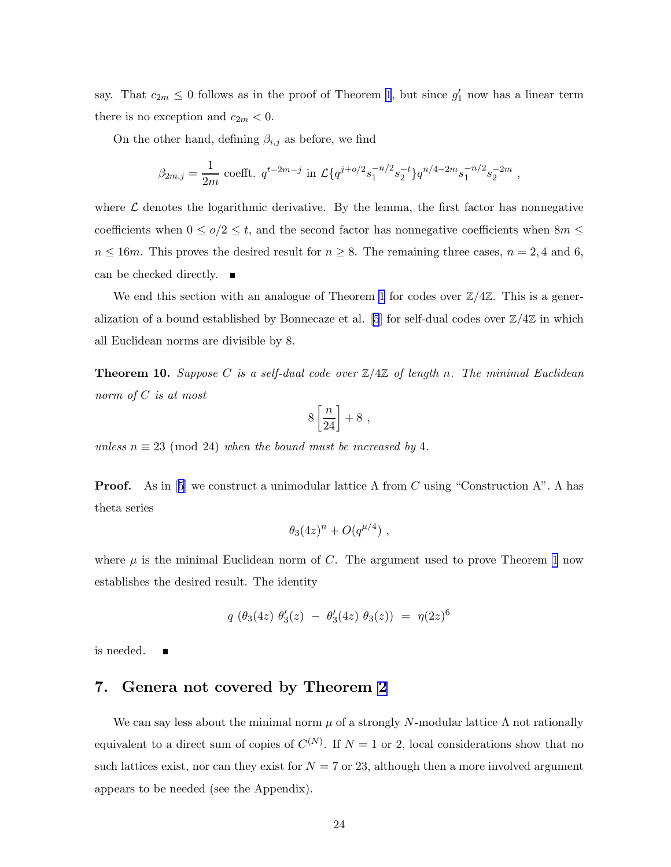say. That  $c_{2m} \leq 0$  follows as in the proof of Theorem [1](#page-1-0), but since  $g'_1$  now has a linear term there is no exception and  $c_{2m} < 0$ .

On the other hand, defining  $\beta_{i,j}$  as before, we find

$$
\beta_{2m,j} = \frac{1}{2m} \text{ coefft. } q^{t-2m-j} \text{ in } \mathcal{L}\left\{q^{j+o/2}s_1^{-n/2}s_2^{-t}\right\}q^{n/4-2m}s_1^{-n/2}s_2^{-2m} ,
$$

where  $\mathcal L$  denotes the logarithmic derivative. By the lemma, the first factor has nonnegative coefficients when  $0 \leq o/2 \leq t$ , and the second factor has nonnegative coefficients when  $8m \leq$  $n \leq 16m$ . This proves the desired result for  $n \geq 8$ . The remaining three cases,  $n = 2, 4$  and 6, can be checked directly.

We end this section with an analogue of Theorem [1](#page-1-0) for codes over  $\mathbb{Z}/4\mathbb{Z}$ . This is a gener-alization of a bound established by Bonnecaze et al. [\[5](#page-29-0)] for self-dual codes over  $\mathbb{Z}/4\mathbb{Z}$  in which all Euclidean norms are divisible by 8.

**Theorem 10.** Suppose C is a self-dual code over  $\mathbb{Z}/4\mathbb{Z}$  of length n. The minimal Euclidean norm of C is at most

$$
8\left[\frac{n}{24}\right]+8\ ,
$$

unless  $n \equiv 23 \pmod{24}$  when the bound must be increased by 4.

**Proof.**As in [[5](#page-29-0)] we construct a unimodular lattice  $\Lambda$  from C using "Construction A".  $\Lambda$  has theta series

$$
\theta_3(4z)^n + O(q^{\mu/4}),
$$

where  $\mu$  is the minimal Euclidean norm of C. The argument used to prove Theorem [1](#page-1-0) now establishes the desired result. The identity

$$
q\,\left(\theta_3(4z)\,\,\theta'_3(z)\,\,-\,\,\theta'_3(4z)\,\,\theta_3(z)\right)\,\,=\,\,\eta(2z)^6
$$

is needed.

## 7. Genera not covered by Theorem [2](#page-3-0)

We can say less about the minimal norm  $\mu$  of a strongly N-modular lattice  $\Lambda$  not rationally equivalent to a direct sum of copies of  $C^{(N)}$ . If  $N=1$  or 2, local considerations show that no such lattices exist, nor can they exist for  $N = 7$  or 23, although then a more involved argument appears to be needed (see the Appendix).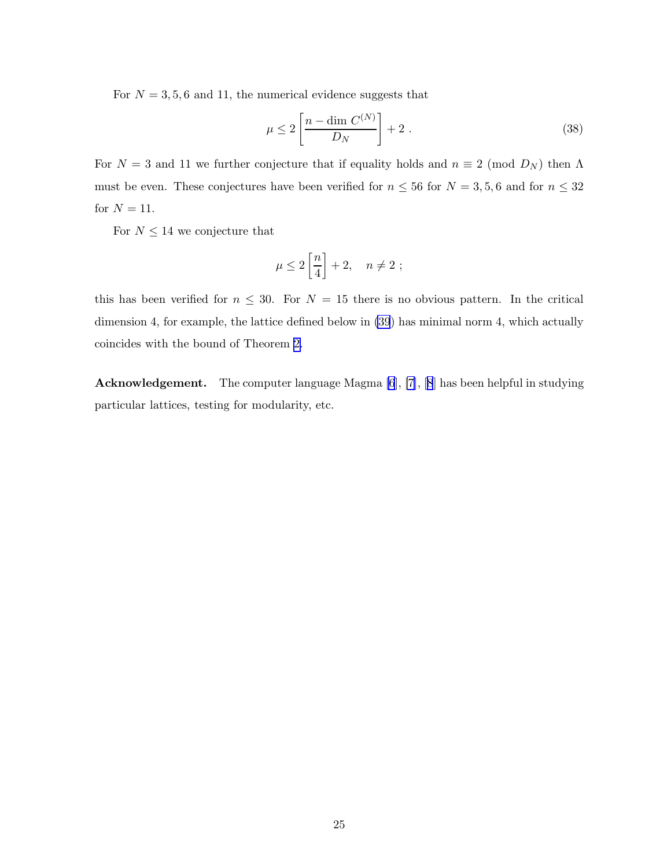For  $N = 3, 5, 6$  and 11, the numerical evidence suggests that

$$
\mu \le 2 \left[ \frac{n - \dim C^{(N)}}{D_N} \right] + 2 \ . \tag{38}
$$

For  $N = 3$  and 11 we further conjecture that if equality holds and  $n \equiv 2 \pmod{D_N}$  then  $\Lambda$ must be even. These conjectures have been verified for  $n \leq 56$  for  $N = 3, 5, 6$  and for  $n \leq 32$ for  $N = 11$ .

For  $N \leq 14$  we conjecture that

$$
\mu \le 2\left[\frac{n}{4}\right] + 2, \quad n \ne 2 ;
$$

this has been verified for  $n \leq 30$ . For  $N = 15$  there is no obvious pattern. In the critical dimension 4, for example, the lattice defined below in [\(39](#page-28-0)) has minimal norm 4, which actually coincides with the bound of Theorem [2.](#page-3-0)

Acknowledgement. The computer language Magma [\[6](#page-29-0)], [\[7](#page-29-0)], [\[8](#page-29-0)] has been helpful in studying particular lattices, testing for modularity, etc.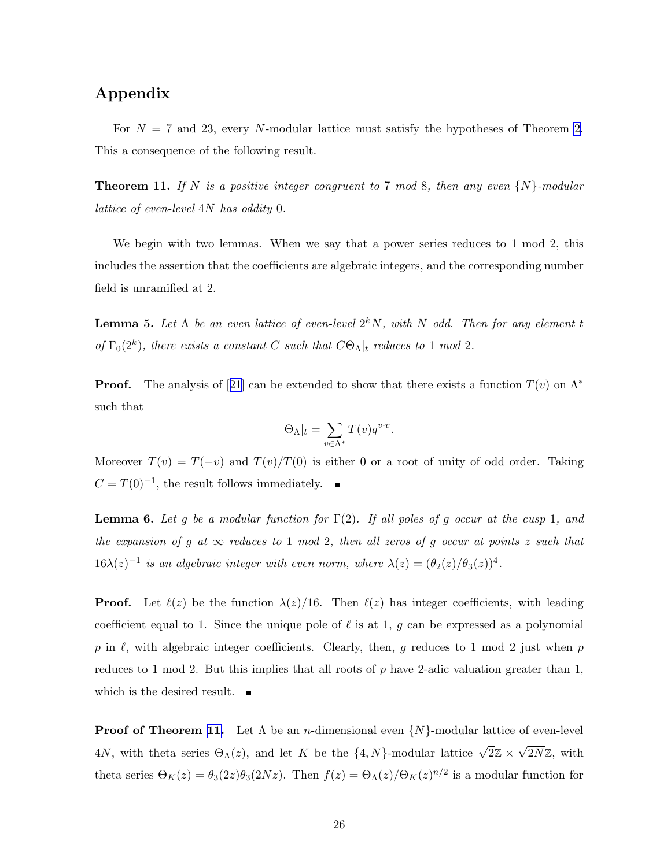# <span id="page-26-0"></span>Appendix

For  $N = 7$  and 23, every N-modular lattice must satisfy the hypotheses of Theorem [2.](#page-3-0) This a consequence of the following result.

**Theorem 11.** If N is a positive integer congruent to 7 mod 8, then any even  $\{N\}$ -modular lattice of even-level 4N has oddity 0.

We begin with two lemmas. When we say that a power series reduces to 1 mod 2, this includes the assertion that the coefficients are algebraic integers, and the corresponding number field is unramified at 2.

**Lemma 5.** Let  $\Lambda$  be an even lattice of even-level  $2^k N$ , with N odd. Then for any element t of  $\Gamma_0(2^k)$ , there exists a constant C such that  $C\Theta_{\Lambda}|_t$  reduces to 1 mod 2.

**Proof.**The analysis of [[21](#page-30-0)] can be extended to show that there exists a function  $T(v)$  on  $\Lambda^*$ such that

$$
\Theta_{\Lambda}|_{t} = \sum_{v \in \Lambda^*} T(v) q^{v \cdot v}.
$$

Moreover  $T(v) = T(-v)$  and  $T(v)/T(0)$  is either 0 or a root of unity of odd order. Taking  $C = T(0)^{-1}$ , the result follows immediately.

**Lemma 6.** Let g be a modular function for  $\Gamma(2)$ . If all poles of g occur at the cusp 1, and the expansion of g at  $\infty$  reduces to 1 mod 2, then all zeros of g occur at points z such that  $16\lambda(z)^{-1}$  is an algebraic integer with even norm, where  $\lambda(z) = (\theta_2(z)/\theta_3(z))^4$ .

**Proof.** Let  $\ell(z)$  be the function  $\lambda(z)/16$ . Then  $\ell(z)$  has integer coefficients, with leading coefficient equal to 1. Since the unique pole of  $\ell$  is at 1, g can be expressed as a polynomial p in  $\ell$ , with algebraic integer coefficients. Clearly, then, g reduces to 1 mod 2 just when p reduces to 1 mod 2. But this implies that all roots of  $p$  have 2-adic valuation greater than 1, which is the desired result.  $\blacksquare$ 

**Proof of Theorem 11.** Let  $\Lambda$  be an *n*-dimensional even  $\{N\}$ -modular lattice of even-level 4N, with theta series  $\Theta_{\Lambda}(z)$ , and let K be the  $\{4, N\}$ -modular lattice  $\sqrt{2}\mathbb{Z} \times \sqrt{2N}\mathbb{Z}$ , with theta series  $\Theta_K(z) = \theta_3(2z)\theta_3(2Nz)$ . Then  $f(z) = \Theta_{\Lambda}(z)/\Theta_K(z)^{n/2}$  is a modular function for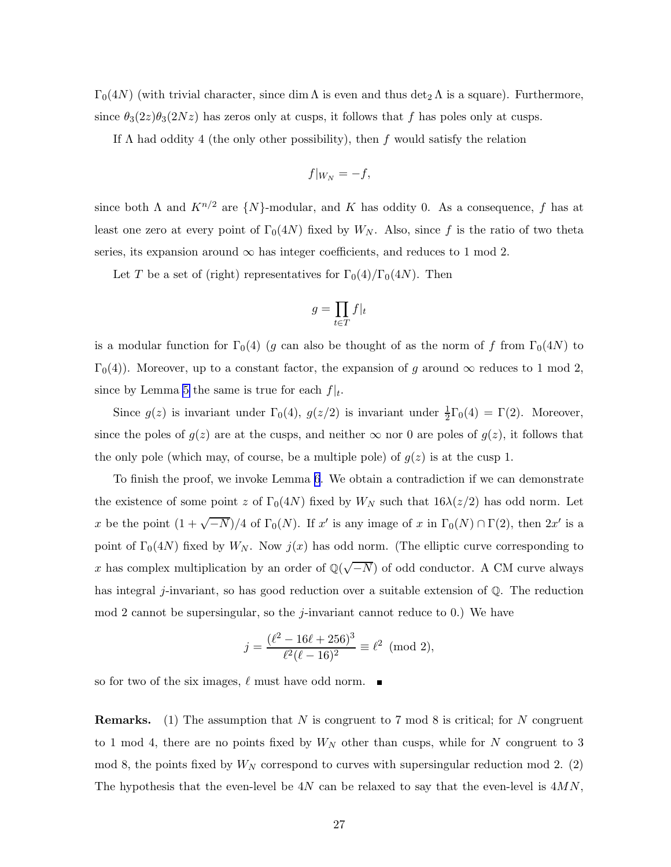$\Gamma_0(4N)$  (with trivial character, since dim  $\Lambda$  is even and thus det<sub>2</sub>  $\Lambda$  is a square). Furthermore, since  $\theta_3(2z)\theta_3(2Nz)$  has zeros only at cusps, it follows that f has poles only at cusps.

If  $\Lambda$  had oddity 4 (the only other possibility), then f would satisfy the relation

$$
f|_{W_N} = -f,
$$

since both  $\Lambda$  and  $K^{n/2}$  are  $\{N\}$ -modular, and K has oddity 0. As a consequence, f has at least one zero at every point of  $\Gamma_0(4N)$  fixed by  $W_N$ . Also, since f is the ratio of two theta series, its expansion around  $\infty$  has integer coefficients, and reduces to 1 mod 2.

Let T be a set of (right) representatives for  $\Gamma_0(4)/\Gamma_0(4N)$ . Then

$$
g = \prod_{t \in T} f|_t
$$

is a modular function for  $\Gamma_0(4)$  (g can also be thought of as the norm of f from  $\Gamma_0(4N)$  to  $\Gamma_0(4)$ ). Moreover, up to a constant factor, the expansion of g around  $\infty$  reduces to 1 mod 2, since by Lemma [5](#page-26-0) the same is true for each  $f|_t$ .

Since  $g(z)$  is invariant under  $\Gamma_0(4)$ ,  $g(z/2)$  is invariant under  $\frac{1}{2}\Gamma_0(4) = \Gamma(2)$ . Moreover, since the poles of  $g(z)$  are at the cusps, and neither  $\infty$  nor 0 are poles of  $g(z)$ , it follows that the only pole (which may, of course, be a multiple pole) of  $g(z)$  is at the cusp 1.

To finish the proof, we invoke Lemma [6](#page-26-0). We obtain a contradiction if we can demonstrate the existence of some point z of  $\Gamma_0(4N)$  fixed by  $W_N$  such that  $16\lambda(z/2)$  has odd norm. Let x be the point  $(1 + \sqrt{-N})/4$  of  $\Gamma_0(N)$ . If x' is any image of x in  $\Gamma_0(N) \cap \Gamma(2)$ , then  $2x'$  is a point of  $\Gamma_0(4N)$  fixed by  $W_N$ . Now  $j(x)$  has odd norm. (The elliptic curve corresponding to x has complex multiplication by an order of  $\mathbb{Q}(\sqrt{-N})$  of odd conductor. A CM curve always has integral j-invariant, so has good reduction over a suitable extension of  $\mathbb{Q}$ . The reduction mod 2 cannot be supersingular, so the *j*-invariant cannot reduce to 0.) We have

$$
j = \frac{(\ell^2 - 16\ell + 256)^3}{\ell^2(\ell - 16)^2} \equiv \ell^2 \pmod{2},
$$

so for two of the six images,  $\ell$  must have odd norm.

**Remarks.** (1) The assumption that N is congruent to 7 mod 8 is critical; for N congruent to 1 mod 4, there are no points fixed by  $W_N$  other than cusps, while for N congruent to 3 mod 8, the points fixed by  $W_N$  correspond to curves with supersingular reduction mod 2. (2) The hypothesis that the even-level be  $4N$  can be relaxed to say that the even-level is  $4MN$ ,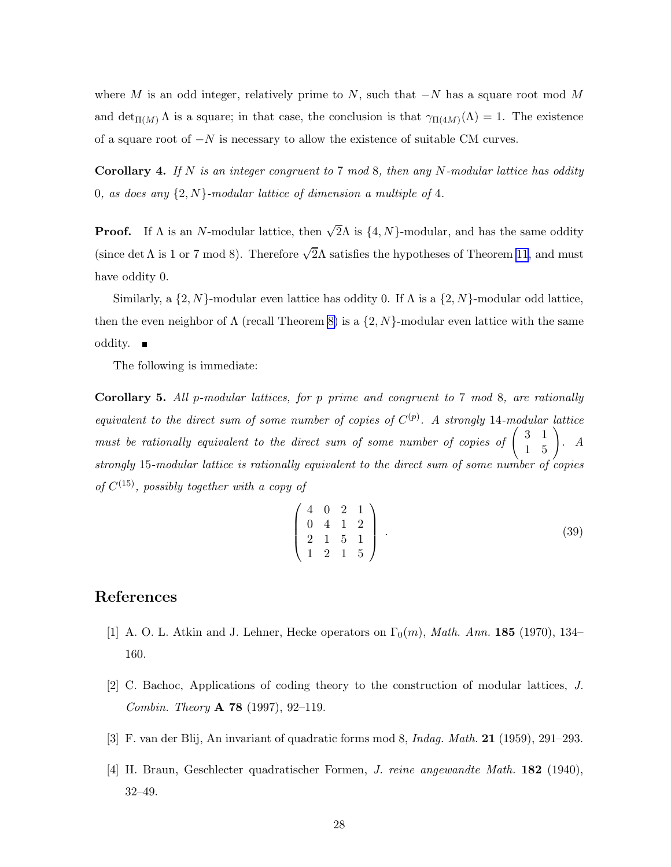<span id="page-28-0"></span>where M is an odd integer, relatively prime to N, such that  $-N$  has a square root mod M and  $\det_{\Pi(M)} \Lambda$  is a square; in that case, the conclusion is that  $\gamma_{\Pi(4M)}(\Lambda) = 1$ . The existence of a square root of  $-N$  is necessary to allow the existence of suitable CM curves.

**Corollary 4.** If N is an integer congruent to 7 mod 8, then any N-modular lattice has oddity 0, as does any  $\{2, N\}$ -modular lattice of dimension a multiple of 4.

**Proof.** If  $\Lambda$  is an N-modular lattice, then  $\sqrt{2}\Lambda$  is  $\{4, N\}$ -modular, and has the same oddity (since det  $\Lambda$  is 1 or 7 mod 8). Therefore  $\sqrt{2}\Lambda$  satisfies the hypotheses of Theorem [11](#page-26-0), and must have oddity 0.

Similarly, a  $\{2, N\}$ -modular even lattice has oddity 0. If  $\Lambda$  is a  $\{2, N\}$ -modular odd lattice, then the even neighbor of  $\Lambda$  (recall Theorem [8\)](#page-16-0) is a  $\{2, N\}$ -modular even lattice with the same oddity.  $\blacksquare$ 

The following is immediate:

Corollary 5. All p-modular lattices, for p prime and congruent to 7 mod 8, are rationally equivalent to the direct sum of some number of copies of  $C^{(p)}$ . A strongly 14-modular lattice must be rationally equivalent to the direct sum of some number of copies of  $\begin{pmatrix} 3 & 1 \\ 1 & 5 \end{pmatrix}$ . A strongly 15-modular lattice is rationally equivalent to the direct sum of some number of copies of  $C^{(15)}$ , possibly together with a copy of

$$
\left(\begin{array}{cccc}\n4 & 0 & 2 & 1\\
0 & 4 & 1 & 2\\
2 & 1 & 5 & 1\\
1 & 2 & 1 & 5\n\end{array}\right).
$$
\n(39)

# References

- [1] A. O. L. Atkin and J. Lehner, Hecke operators on  $\Gamma_0(m)$ , Math. Ann. 185 (1970), 134– 160.
- [2] C. Bachoc, Applications of coding theory to the construction of modular lattices, J. *Combin. Theory* **A 78** (1997), 92–119.
- [3] F. van der Blij, An invariant of quadratic forms mod 8, Indag. Math. 21 (1959), 291–293.
- [4] H. Braun, Geschlecter quadratischer Formen, J. reine angewandte Math. 182 (1940), 32–49.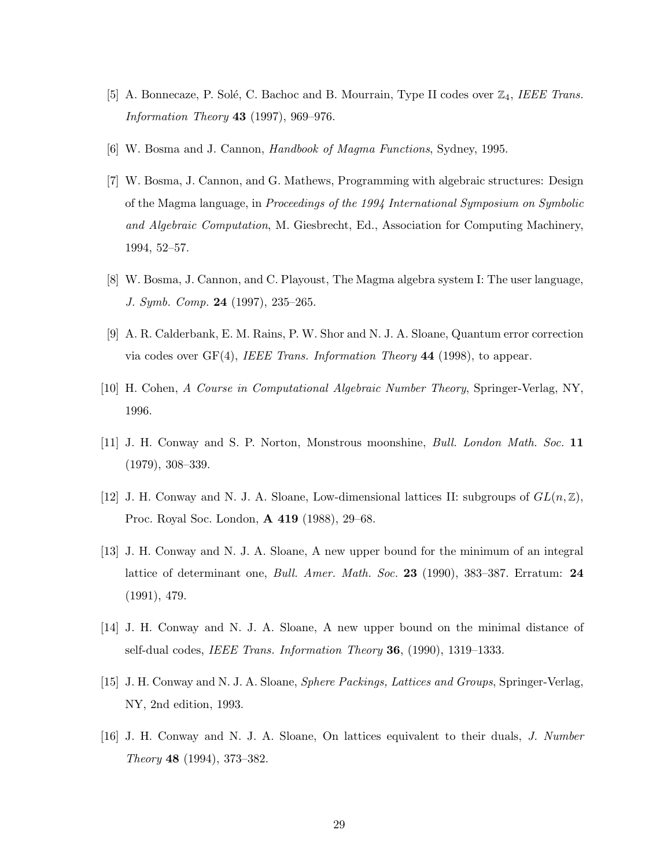- <span id="page-29-0"></span>[5] A. Bonnecaze, P. Solé, C. Bachoc and B. Mourrain, Type II codes over  $\mathbb{Z}_4$ , IEEE Trans. Information Theory 43 (1997), 969–976.
- [6] W. Bosma and J. Cannon, Handbook of Magma Functions, Sydney, 1995.
- [7] W. Bosma, J. Cannon, and G. Mathews, Programming with algebraic structures: Design of the Magma language, in Proceedings of the 1994 International Symposium on Symbolic and Algebraic Computation, M. Giesbrecht, Ed., Association for Computing Machinery, 1994, 52–57.
- [8] W. Bosma, J. Cannon, and C. Playoust, The Magma algebra system I: The user language, J. Symb. Comp. 24 (1997), 235–265.
- [9] A. R. Calderbank, E. M. Rains, P. W. Shor and N. J. A. Sloane, Quantum error correction via codes over  $GF(4)$ , IEEE Trans. Information Theory 44 (1998), to appear.
- [10] H. Cohen, A Course in Computational Algebraic Number Theory, Springer-Verlag, NY, 1996.
- [11] J. H. Conway and S. P. Norton, Monstrous moonshine, Bull. London Math. Soc. 11 (1979), 308–339.
- [12] J. H. Conway and N. J. A. Sloane, Low-dimensional lattices II: subgroups of  $GL(n, \mathbb{Z})$ , Proc. Royal Soc. London, A 419 (1988), 29–68.
- [13] J. H. Conway and N. J. A. Sloane, A new upper bound for the minimum of an integral lattice of determinant one, *Bull. Amer. Math. Soc.* 23 (1990), 383–387. Erratum: 24 (1991), 479.
- [14] J. H. Conway and N. J. A. Sloane, A new upper bound on the minimal distance of self-dual codes, IEEE Trans. Information Theory 36, (1990), 1319–1333.
- [15] J. H. Conway and N. J. A. Sloane, Sphere Packings, Lattices and Groups, Springer-Verlag, NY, 2nd edition, 1993.
- [16] J. H. Conway and N. J. A. Sloane, On lattices equivalent to their duals, J. Number Theory 48 (1994), 373–382.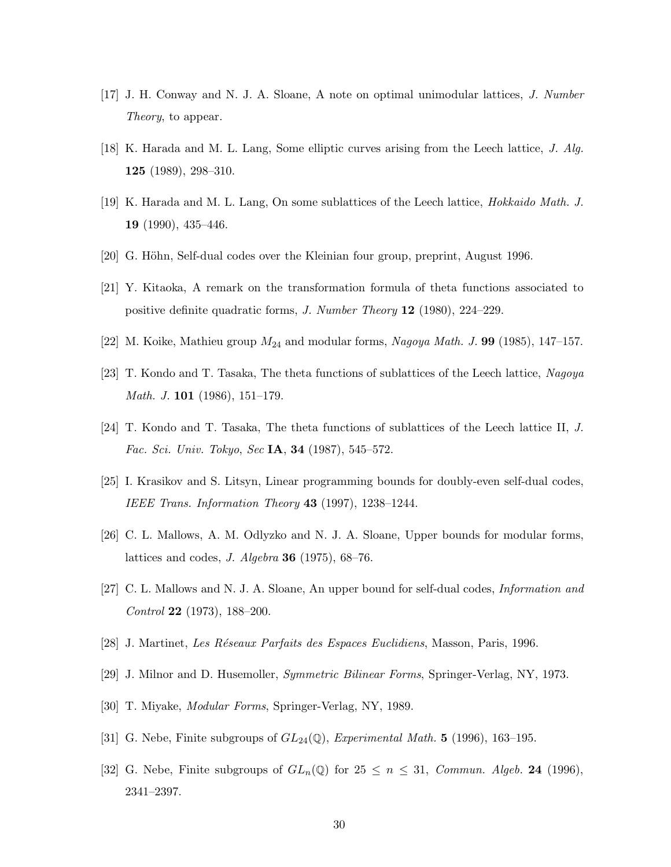- <span id="page-30-0"></span>[17] J. H. Conway and N. J. A. Sloane, A note on optimal unimodular lattices, J. Number Theory, to appear.
- [18] K. Harada and M. L. Lang, Some elliptic curves arising from the Leech lattice, J. Alg. 125 (1989), 298–310.
- [19] K. Harada and M. L. Lang, On some sublattices of the Leech lattice, Hokkaido Math. J. 19 (1990), 435–446.
- [20] G. Höhn, Self-dual codes over the Kleinian four group, preprint, August 1996.
- [21] Y. Kitaoka, A remark on the transformation formula of theta functions associated to positive definite quadratic forms, J. Number Theory 12 (1980), 224–229.
- [22] M. Koike, Mathieu group  $M_{24}$  and modular forms, Nagoya Math. J. 99 (1985), 147–157.
- [23] T. Kondo and T. Tasaka, The theta functions of sublattices of the Leech lattice, Nagoya Math. J. 101 (1986), 151–179.
- [24] T. Kondo and T. Tasaka, The theta functions of sublattices of the Leech lattice II, J. Fac. Sci. Univ. Tokyo, Sec IA, 34 (1987), 545–572.
- [25] I. Krasikov and S. Litsyn, Linear programming bounds for doubly-even self-dual codes, IEEE Trans. Information Theory  $43$  (1997), 1238–1244.
- [26] C. L. Mallows, A. M. Odlyzko and N. J. A. Sloane, Upper bounds for modular forms, lattices and codes, J. Algebra 36 (1975), 68–76.
- [27] C. L. Mallows and N. J. A. Sloane, An upper bound for self-dual codes, Information and Control 22 (1973), 188–200.
- [28] J. Martinet, Les R´eseaux Parfaits des Espaces Euclidiens, Masson, Paris, 1996.
- [29] J. Milnor and D. Husemoller, Symmetric Bilinear Forms, Springer-Verlag, NY, 1973.
- [30] T. Miyake, Modular Forms, Springer-Verlag, NY, 1989.
- [31] G. Nebe, Finite subgroups of  $GL_{24}(\mathbb{Q})$ , Experimental Math. 5 (1996), 163-195.
- [32] G. Nebe, Finite subgroups of  $GL_n(\mathbb{Q})$  for  $25 \leq n \leq 31$ , Commun. Algeb. 24 (1996), 2341–2397.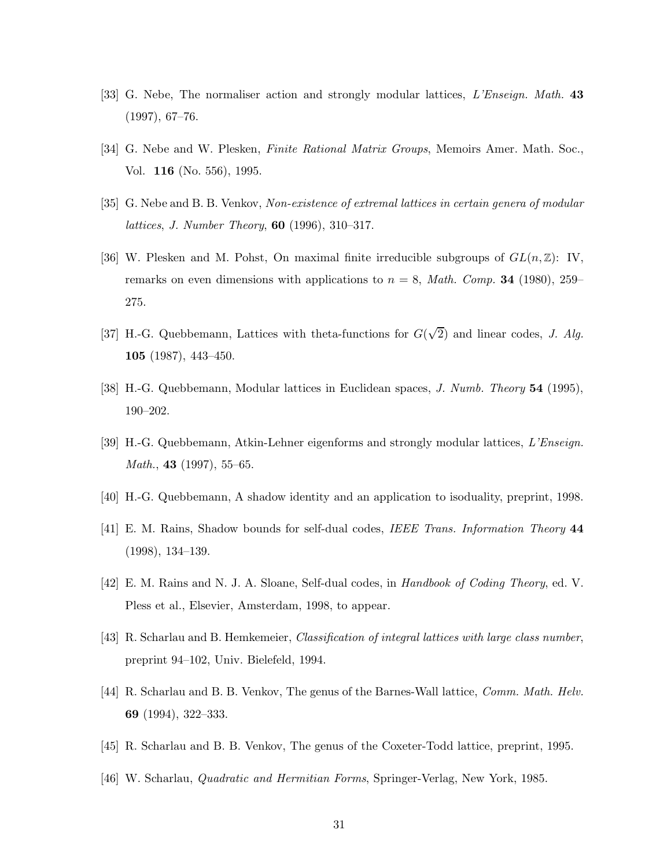- <span id="page-31-0"></span>[33] G. Nebe, The normaliser action and strongly modular lattices, *L'Enseign. Math.* 43 (1997), 67–76.
- [34] G. Nebe and W. Plesken, *Finite Rational Matrix Groups*, Memoirs Amer. Math. Soc., Vol. 116 (No. 556), 1995.
- [35] G. Nebe and B. B. Venkov, Non-existence of extremal lattices in certain genera of modular lattices, J. Number Theory, 60 (1996), 310–317.
- [36] W. Plesken and M. Pohst, On maximal finite irreducible subgroups of  $GL(n, \mathbb{Z})$ : IV, remarks on even dimensions with applications to  $n = 8$ , *Math. Comp.* **34** (1980), 259– 275.
- [37] H.-G. Quebbemann, Lattices with theta-functions for  $G(\sqrt{2})$  and linear codes, J. Alg. 105 (1987), 443–450.
- [38] H.-G. Quebbemann, Modular lattices in Euclidean spaces, J. Numb. Theory 54 (1995), 190–202.
- [39] H.-G. Quebbemann, Atkin-Lehner eigenforms and strongly modular lattices, L'Enseign. *Math.*, 43 (1997), 55–65.
- [40] H.-G. Quebbemann, A shadow identity and an application to isoduality, preprint, 1998.
- [41] E. M. Rains, Shadow bounds for self-dual codes, IEEE Trans. Information Theory 44 (1998), 134–139.
- [42] E. M. Rains and N. J. A. Sloane, Self-dual codes, in Handbook of Coding Theory, ed. V. Pless et al., Elsevier, Amsterdam, 1998, to appear.
- [43] R. Scharlau and B. Hemkemeier, Classification of integral lattices with large class number, preprint 94–102, Univ. Bielefeld, 1994.
- [44] R. Scharlau and B. B. Venkov, The genus of the Barnes-Wall lattice, Comm. Math. Helv. 69 (1994), 322–333.
- [45] R. Scharlau and B. B. Venkov, The genus of the Coxeter-Todd lattice, preprint, 1995.
- [46] W. Scharlau, Quadratic and Hermitian Forms, Springer-Verlag, New York, 1985.